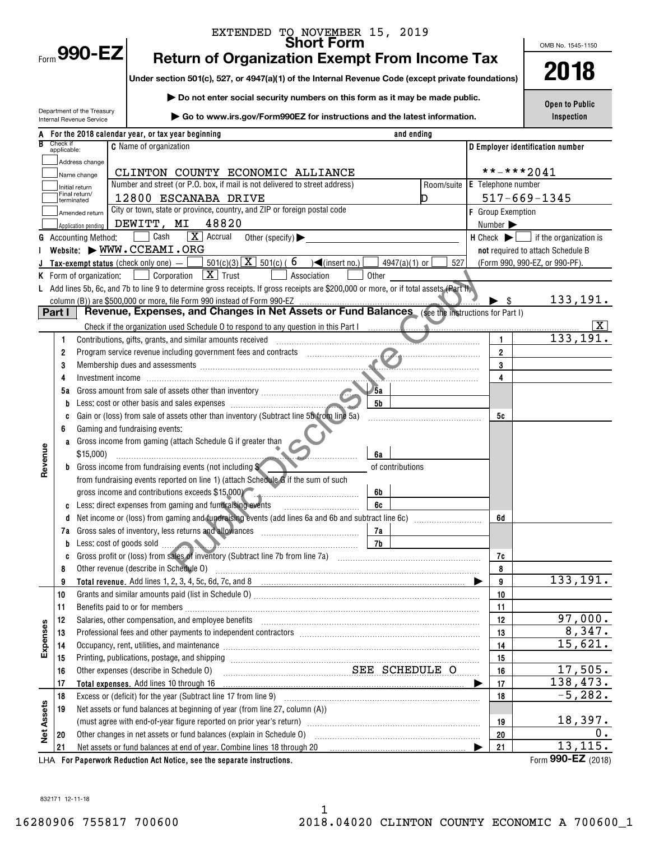|                   |                         |                                                    | EXTENDED TO NOVEMBER 15, 2019<br>Short Form                                                                                                                                                                                    |            |                                                          | OMB No. 1545-1150                 |
|-------------------|-------------------------|----------------------------------------------------|--------------------------------------------------------------------------------------------------------------------------------------------------------------------------------------------------------------------------------|------------|----------------------------------------------------------|-----------------------------------|
|                   |                         | Form 990-EZ                                        | <b>Return of Organization Exempt From Income Tax</b>                                                                                                                                                                           |            |                                                          |                                   |
|                   |                         |                                                    | Under section 501(c), 527, or 4947(a)(1) of the Internal Revenue Code (except private foundations)                                                                                                                             |            |                                                          | 2018                              |
|                   |                         |                                                    | Do not enter social security numbers on this form as it may be made public.                                                                                                                                                    |            |                                                          |                                   |
|                   |                         | Department of the Treasury                         |                                                                                                                                                                                                                                |            |                                                          | <b>Open to Public</b>             |
|                   |                         | Internal Revenue Service                           | $\triangleright$ Go to www.irs.gov/Form990EZ for instructions and the latest information.                                                                                                                                      |            |                                                          | Inspection                        |
|                   |                         |                                                    | and ending<br>A For the 2018 calendar year, or tax year beginning                                                                                                                                                              |            |                                                          |                                   |
|                   | Check if<br>applicable: |                                                    | <b>C</b> Name of organization                                                                                                                                                                                                  |            |                                                          | D Employer identification number  |
|                   |                         | Address change                                     |                                                                                                                                                                                                                                |            |                                                          |                                   |
|                   |                         | Name change                                        | CLINTON COUNTY ECONOMIC ALLIANCE                                                                                                                                                                                               |            |                                                          | $***$ -*** 2041                   |
|                   |                         | Initial return<br>Final return/                    | Number and street (or P.O. box, if mail is not delivered to street address)                                                                                                                                                    | Room/suite | <b>E</b> Telephone number                                |                                   |
|                   |                         | terminated                                         | 12800 ESCANABA DRIVE<br>City or town, state or province, country, and ZIP or foreign postal code                                                                                                                               |            |                                                          | $517 - 669 - 1345$                |
|                   |                         | Amended return                                     | 48820<br>DEWITT, MI                                                                                                                                                                                                            |            | <b>F</b> Group Exemption<br>Number $\blacktriangleright$ |                                   |
|                   |                         | Application pending<br><b>G</b> Accounting Method: | $\boxed{\mathbf{X}}$ Accrual<br>Cash<br>Other (specify) $\blacktriangleright$                                                                                                                                                  |            | $H$ Check $\blacktriangleright$                          | $\Box$ if the organization is     |
|                   |                         |                                                    | Website: WWW.CCEAMI.ORG                                                                                                                                                                                                        |            |                                                          | not required to attach Schedule B |
|                   |                         |                                                    | $501(c)(3)$ $\overline{X}$ $501(c)$ (6<br>$\sqrt{\frac{2}{1}}$ (insert no.)<br>$4947(a)(1)$ or<br>Tax-exempt status (check only one) $-$                                                                                       | 527        |                                                          | (Form 990, 990-EZ, or 990-PF).    |
|                   |                         | K Form of organization:                            | $\boxed{\mathbf{X}}$ Trust<br>Corporation<br>Association<br>Other                                                                                                                                                              |            |                                                          |                                   |
|                   |                         |                                                    | L Add lines 5b, 6c, and 7b to line 9 to determine gross receipts. If gross receipts are \$200,000 or more, or if total assets (Part H,                                                                                         |            |                                                          |                                   |
|                   |                         |                                                    |                                                                                                                                                                                                                                |            |                                                          | 133,191.<br>-S                    |
|                   | Part I                  |                                                    | Revenue, Expenses, and Changes in Net Assets or Fund Balances (see the instructions for Part I)                                                                                                                                |            |                                                          |                                   |
|                   |                         |                                                    |                                                                                                                                                                                                                                |            |                                                          | x                                 |
|                   | 1.                      |                                                    | Contributions, gifts, grants, and similar amounts received                                                                                                                                                                     |            | 1                                                        | 133,191.                          |
|                   | 2<br>3                  |                                                    |                                                                                                                                                                                                                                |            | $\overline{2}$<br>3                                      |                                   |
|                   | 4                       |                                                    | Investment income information and the contract of the state of the state of the state of the state of the state of the state of the state of the state of the state of the state of the state of the state of the state of the |            | 4                                                        |                                   |
|                   | 5а                      |                                                    | /5a                                                                                                                                                                                                                            |            |                                                          |                                   |
|                   | b                       |                                                    | 5 <sub>b</sub>                                                                                                                                                                                                                 |            |                                                          |                                   |
|                   | C                       |                                                    | Gain or (loss) from sale of assets other than inventory (Subtract line 5b from line 5a)                                                                                                                                        |            | 5c                                                       |                                   |
|                   | 6                       |                                                    | Gaming and fundraising events:                                                                                                                                                                                                 |            |                                                          |                                   |
|                   |                         |                                                    | a Gross income from gaming (attach Schedule G if greater than                                                                                                                                                                  |            |                                                          |                                   |
|                   |                         | \$15,000                                           | 6a                                                                                                                                                                                                                             |            |                                                          |                                   |
| Revenue           |                         |                                                    | <b>b</b> Gross income from fundraising events (not including \$<br>of contributions                                                                                                                                            |            |                                                          |                                   |
|                   |                         |                                                    | from fundraising events reported on line 1) (attach Schedule G if the sum of such                                                                                                                                              |            |                                                          |                                   |
|                   |                         |                                                    | gross income and contributions exceeds \$15,000)<br>6b<br>Less: direct expenses from gaming and fundraising events<br>6c                                                                                                       |            |                                                          |                                   |
|                   | C                       |                                                    |                                                                                                                                                                                                                                |            | 6d                                                       |                                   |
|                   |                         |                                                    |                                                                                                                                                                                                                                |            |                                                          |                                   |
|                   | b                       |                                                    |                                                                                                                                                                                                                                |            |                                                          |                                   |
|                   | C                       |                                                    |                                                                                                                                                                                                                                |            | 7c                                                       |                                   |
|                   | 8                       |                                                    | Other revenue (describe in Schedule O)                                                                                                                                                                                         |            | 8                                                        |                                   |
|                   | 9                       |                                                    |                                                                                                                                                                                                                                |            | 9                                                        | 133, 191.                         |
|                   | 10                      |                                                    |                                                                                                                                                                                                                                |            | 10                                                       |                                   |
|                   | 11                      |                                                    |                                                                                                                                                                                                                                |            | 11                                                       |                                   |
|                   | 12                      |                                                    | Salaries, other compensation, and employee benefits                                                                                                                                                                            |            | 12                                                       | 97,000.<br>8,347.                 |
| Expenses          | 13<br>14                |                                                    | Occupancy, rent, utilities, and maintenance manufactured and accuracy of the manufacture of the manufacture of                                                                                                                 |            | 13<br>14                                                 | 15,621.                           |
|                   | 15                      |                                                    |                                                                                                                                                                                                                                |            | 15                                                       |                                   |
|                   | 16                      |                                                    | SEE SCHEDULE O<br>Other expenses (describe in Schedule O)                                                                                                                                                                      |            | 16                                                       | 17,505.                           |
|                   | 17                      |                                                    | Total expenses. Add lines 10 through 16                                                                                                                                                                                        |            | 17<br>▶                                                  | 138,473.                          |
|                   | 18                      |                                                    |                                                                                                                                                                                                                                |            | 18                                                       | $-5, 282.$                        |
|                   | 19                      |                                                    | Net assets or fund balances at beginning of year (from line 27, column (A))                                                                                                                                                    |            |                                                          |                                   |
| <b>Net Assets</b> |                         |                                                    |                                                                                                                                                                                                                                |            | 19                                                       | 18,397.                           |
|                   | 20                      |                                                    |                                                                                                                                                                                                                                |            | 20                                                       | Ο.                                |
|                   | 21                      |                                                    | Net assets or fund balances at end of year. Combine lines 18 through 20                                                                                                                                                        |            | 21                                                       | 13, 115.                          |
|                   |                         |                                                    | LHA For Paperwork Reduction Act Notice, see the separate instructions.                                                                                                                                                         |            |                                                          | Form 990-EZ (2018)                |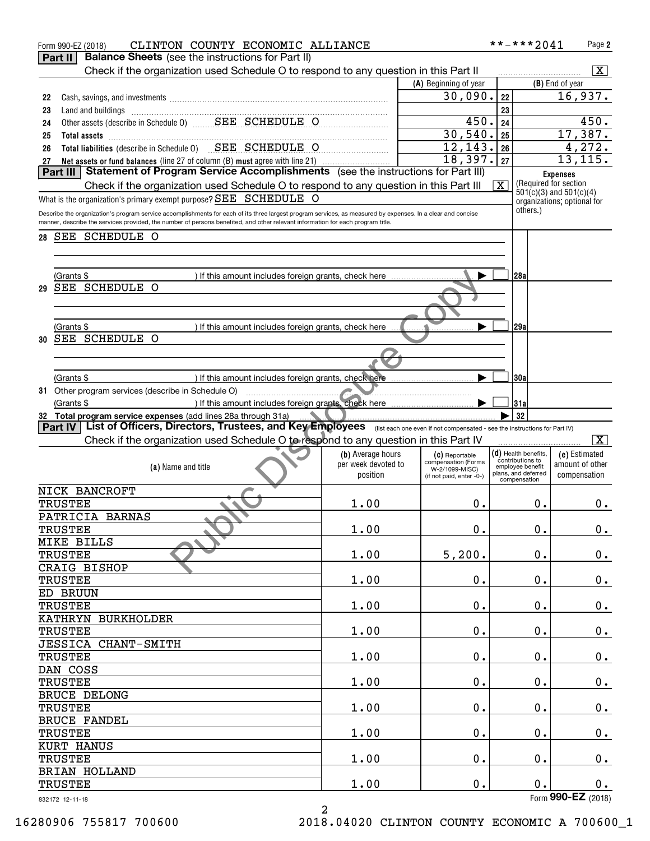| CLINTON COUNTY ECONOMIC ALLIANCE<br>Form 990-EZ (2018)                                                                                                      |                     |                                       | **-***2041                           | Page 2                                                     |  |  |
|-------------------------------------------------------------------------------------------------------------------------------------------------------------|---------------------|---------------------------------------|--------------------------------------|------------------------------------------------------------|--|--|
| <b>Balance Sheets</b> (see the instructions for Part II)<br>Part II                                                                                         |                     |                                       |                                      |                                                            |  |  |
| Check if the organization used Schedule O to respond to any question in this Part II                                                                        |                     |                                       |                                      | $\overline{\mathbf{X}}$                                    |  |  |
|                                                                                                                                                             |                     | (A) Beginning of year                 |                                      | (B) End of year                                            |  |  |
| 22                                                                                                                                                          |                     | 30,090.                               | 22                                   | 16,937.                                                    |  |  |
| 23<br>Land and buildings                                                                                                                                    |                     |                                       | 23                                   |                                                            |  |  |
| Land and buildings<br>Other assets (describe in Schedule 0)<br>Cher assets (describe in Schedule 0)<br>CHEDULE O<br>24                                      |                     | 450.                                  | 24                                   | 450.                                                       |  |  |
| 25                                                                                                                                                          |                     | 30,540.                               | 25                                   | 17,387.                                                    |  |  |
| Total liabilities (describe in Schedule 0) SEE SCHEDULE O<br>26                                                                                             |                     | 12,143.                               | 26                                   | 4,272.                                                     |  |  |
| Net assets or fund balances (line 27 of column (B) must agree with line 21)<br>27                                                                           |                     | 18,397.                               | 27                                   | 13, 115.                                                   |  |  |
| Statement of Program Service Accomplishments (see the instructions for Part III)<br>Part III                                                                |                     |                                       |                                      | <b>Expenses</b>                                            |  |  |
| Check if the organization used Schedule O to respond to any question in this Part III                                                                       |                     |                                       | $\overline{\text{X}}$                | (Required for section)                                     |  |  |
| What is the organization's primary exempt purpose? SEE SCHEDULE O                                                                                           |                     |                                       |                                      | $501(c)(3)$ and $501(c)(4)$<br>organizations; optional for |  |  |
| Describe the organization's program service accomplishments for each of its three largest program services, as measured by expenses. In a clear and concise |                     |                                       | others.)                             |                                                            |  |  |
| manner, describe the services provided, the number of persons benefited, and other relevant information for each program title.                             |                     |                                       |                                      |                                                            |  |  |
| SEE SCHEDULE O<br>28                                                                                                                                        |                     |                                       |                                      |                                                            |  |  |
|                                                                                                                                                             |                     |                                       |                                      |                                                            |  |  |
|                                                                                                                                                             |                     |                                       |                                      |                                                            |  |  |
| (Grants \$<br>) If this amount includes foreign grants, check here                                                                                          |                     |                                       | 28a                                  |                                                            |  |  |
| SEE SCHEDULE O<br>29                                                                                                                                        |                     |                                       |                                      |                                                            |  |  |
|                                                                                                                                                             |                     |                                       |                                      |                                                            |  |  |
|                                                                                                                                                             |                     |                                       |                                      |                                                            |  |  |
|                                                                                                                                                             |                     |                                       |                                      |                                                            |  |  |
| (Grants \$<br>) If this amount includes foreign grants, check here<br>SEE SCHEDULE O                                                                        |                     |                                       | 29a                                  |                                                            |  |  |
| 30                                                                                                                                                          |                     |                                       |                                      |                                                            |  |  |
|                                                                                                                                                             |                     |                                       |                                      |                                                            |  |  |
|                                                                                                                                                             |                     |                                       |                                      |                                                            |  |  |
| ) If this amount includes foreign grants, check here<br>(Grants \$                                                                                          |                     |                                       | 30a                                  |                                                            |  |  |
| 31 Other program services (describe in Schedule O)<br><u> El antico de la companya de la compa</u>                                                          |                     |                                       |                                      |                                                            |  |  |
| ) If this amount includes foreign grants, check here<br>(Grants \$                                                                                          |                     |                                       | 31a                                  |                                                            |  |  |
| 32 Total program service expenses (add lines 28a through 31a)                                                                                               |                     |                                       | 32                                   |                                                            |  |  |
| Part IV   List of Officers, Directors, Trustees, and Key Employees (Iist each one even if not compensated - see the instructions for Part IV)               |                     |                                       |                                      |                                                            |  |  |
|                                                                                                                                                             |                     |                                       |                                      |                                                            |  |  |
| Check if the organization used Schedule O to respond to any question in this Part IV                                                                        |                     |                                       |                                      | $\overline{\mathbf{X}}$                                    |  |  |
|                                                                                                                                                             | (b) Average hours   | (C) Reportable                        | (d) Health benefits,                 | (e) Estimated                                              |  |  |
| (a) Name and title                                                                                                                                          | per week devoted to | compensation (Forms<br>W-2/1099-MISC) | contributions to<br>employee benefit | amount of other                                            |  |  |
|                                                                                                                                                             | position            | (if not paid, enter -0-)              | plans, and deferred<br>compensation  | compensation                                               |  |  |
| NICK BANCROFT                                                                                                                                               |                     |                                       |                                      |                                                            |  |  |
| TRUSTEE                                                                                                                                                     | 1.00                | 0.                                    | 0.                                   | $0$ .                                                      |  |  |
| PATRICIA BARNAS                                                                                                                                             |                     |                                       |                                      |                                                            |  |  |
| <b>TRUSTEE</b>                                                                                                                                              | 1.00                | $0$ .                                 | $0$ .                                | 0.                                                         |  |  |
| MIKE BILLS                                                                                                                                                  |                     |                                       |                                      |                                                            |  |  |
| <b>TRUSTEE</b>                                                                                                                                              | 1.00                | 5,200.                                | $0$ .                                | 0.                                                         |  |  |
| CRAIG BISHOP                                                                                                                                                |                     |                                       |                                      |                                                            |  |  |
|                                                                                                                                                             |                     |                                       | $0$ .                                |                                                            |  |  |
| <b>TRUSTEE</b>                                                                                                                                              | 1.00                | $\mathbf 0$ .                         |                                      | $\mathbf 0$ .                                              |  |  |
| ED BRUUN                                                                                                                                                    |                     |                                       |                                      |                                                            |  |  |
| <b>TRUSTEE</b>                                                                                                                                              | 1.00                | 0.                                    | $0$ .                                | $\mathbf 0$ .                                              |  |  |
| KATHRYN BURKHOLDER                                                                                                                                          |                     |                                       |                                      |                                                            |  |  |
| <b>TRUSTEE</b>                                                                                                                                              | 1.00                | $\mathbf 0$ .                         | $\mathbf 0$ .                        | $\mathbf 0$ .                                              |  |  |
| JESSICA CHANT-SMITH                                                                                                                                         |                     |                                       |                                      |                                                            |  |  |
| <b>TRUSTEE</b>                                                                                                                                              | 1.00                | $\mathbf 0$ .                         | $0$ .                                | $0$ .                                                      |  |  |
| DAN COSS                                                                                                                                                    |                     |                                       |                                      |                                                            |  |  |
| <b>TRUSTEE</b>                                                                                                                                              | 1.00                | $\mathbf 0$ .                         | $\mathbf 0$ .                        | $0$ .                                                      |  |  |
| BRUCE DELONG                                                                                                                                                |                     |                                       |                                      |                                                            |  |  |
| <b>TRUSTEE</b>                                                                                                                                              | 1.00                | $\mathbf 0$ .                         | $\mathbf 0$ .                        | $0$ .                                                      |  |  |
| BRUCE FANDEL                                                                                                                                                |                     |                                       |                                      |                                                            |  |  |
| <b>TRUSTEE</b>                                                                                                                                              | 1.00                | $0$ .                                 | $0$ .                                | $\mathbf 0$ .                                              |  |  |
| KURT HANUS                                                                                                                                                  |                     |                                       |                                      |                                                            |  |  |
| <b>TRUSTEE</b>                                                                                                                                              | 1.00                | $\mathbf 0$ .                         | $\mathbf 0$ .                        | $\mathbf 0$ .                                              |  |  |
| BRIAN HOLLAND                                                                                                                                               |                     |                                       |                                      |                                                            |  |  |
| <b>TRUSTEE</b>                                                                                                                                              | 1.00                | $\mathbf 0$ .                         | 0.                                   | 0.<br>Form 990-EZ (2018)                                   |  |  |

2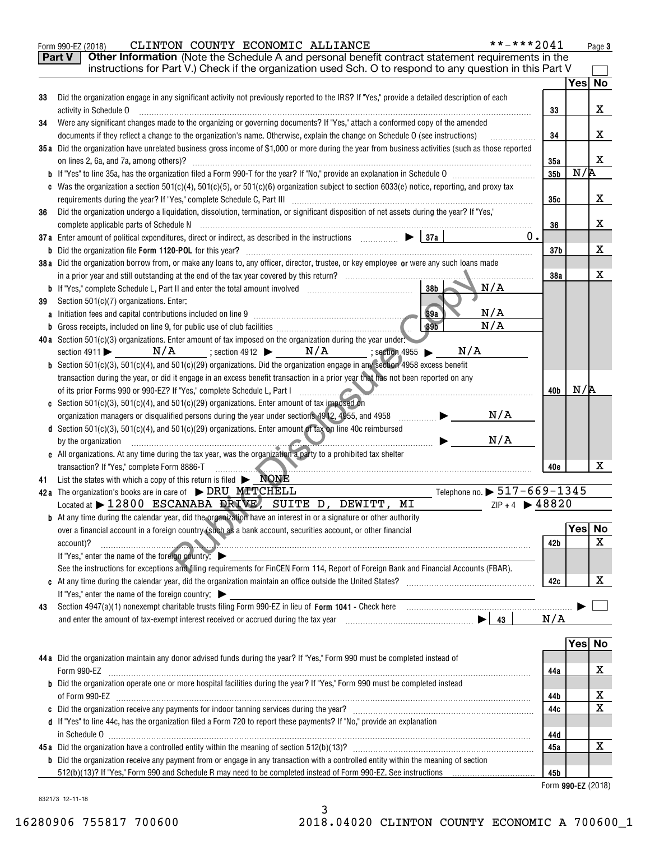|                                                                                                                                                                                                                           | **-***2041                                                                                                                                                                                                                                                                                                                                                                                                                                                                                                                                                                                                                                                                                                                                                                                                                                                                                                                                                                                                                                                                                                                                                                                                                                                                                                                                                                                                                                                                                                                                                                                                                                                                                                                                                                                                                                                                                                                                                                                                                                                                                                                                                                                                                                                                                                                                                                                                                                                                                                                                                                                                                                                                                                                                                                                                                                                                                                                                                                                                                                                                                                                                                                                                                                                                                                                                                                                                                                                                                                                                                                                                                                                                                                                                                                                                                                                                                                                                                                                                   |                       | Page 3                                                                                                               |
|---------------------------------------------------------------------------------------------------------------------------------------------------------------------------------------------------------------------------|--------------------------------------------------------------------------------------------------------------------------------------------------------------------------------------------------------------------------------------------------------------------------------------------------------------------------------------------------------------------------------------------------------------------------------------------------------------------------------------------------------------------------------------------------------------------------------------------------------------------------------------------------------------------------------------------------------------------------------------------------------------------------------------------------------------------------------------------------------------------------------------------------------------------------------------------------------------------------------------------------------------------------------------------------------------------------------------------------------------------------------------------------------------------------------------------------------------------------------------------------------------------------------------------------------------------------------------------------------------------------------------------------------------------------------------------------------------------------------------------------------------------------------------------------------------------------------------------------------------------------------------------------------------------------------------------------------------------------------------------------------------------------------------------------------------------------------------------------------------------------------------------------------------------------------------------------------------------------------------------------------------------------------------------------------------------------------------------------------------------------------------------------------------------------------------------------------------------------------------------------------------------------------------------------------------------------------------------------------------------------------------------------------------------------------------------------------------------------------------------------------------------------------------------------------------------------------------------------------------------------------------------------------------------------------------------------------------------------------------------------------------------------------------------------------------------------------------------------------------------------------------------------------------------------------------------------------------------------------------------------------------------------------------------------------------------------------------------------------------------------------------------------------------------------------------------------------------------------------------------------------------------------------------------------------------------------------------------------------------------------------------------------------------------------------------------------------------------------------------------------------------------------------------------------------------------------------------------------------------------------------------------------------------------------------------------------------------------------------------------------------------------------------------------------------------------------------------------------------------------------------------------------------------------------------------------------------------------------------------------------------------|-----------------------|----------------------------------------------------------------------------------------------------------------------|
| Part V<br>Other Information (Note the Schedule A and personal benefit contract statement requirements in the<br>instructions for Part V.) Check if the organization used Sch. O to respond to any question in this Part V |                                                                                                                                                                                                                                                                                                                                                                                                                                                                                                                                                                                                                                                                                                                                                                                                                                                                                                                                                                                                                                                                                                                                                                                                                                                                                                                                                                                                                                                                                                                                                                                                                                                                                                                                                                                                                                                                                                                                                                                                                                                                                                                                                                                                                                                                                                                                                                                                                                                                                                                                                                                                                                                                                                                                                                                                                                                                                                                                                                                                                                                                                                                                                                                                                                                                                                                                                                                                                                                                                                                                                                                                                                                                                                                                                                                                                                                                                                                                                                                                              |                       |                                                                                                                      |
|                                                                                                                                                                                                                           |                                                                                                                                                                                                                                                                                                                                                                                                                                                                                                                                                                                                                                                                                                                                                                                                                                                                                                                                                                                                                                                                                                                                                                                                                                                                                                                                                                                                                                                                                                                                                                                                                                                                                                                                                                                                                                                                                                                                                                                                                                                                                                                                                                                                                                                                                                                                                                                                                                                                                                                                                                                                                                                                                                                                                                                                                                                                                                                                                                                                                                                                                                                                                                                                                                                                                                                                                                                                                                                                                                                                                                                                                                                                                                                                                                                                                                                                                                                                                                                                              |                       |                                                                                                                      |
|                                                                                                                                                                                                                           |                                                                                                                                                                                                                                                                                                                                                                                                                                                                                                                                                                                                                                                                                                                                                                                                                                                                                                                                                                                                                                                                                                                                                                                                                                                                                                                                                                                                                                                                                                                                                                                                                                                                                                                                                                                                                                                                                                                                                                                                                                                                                                                                                                                                                                                                                                                                                                                                                                                                                                                                                                                                                                                                                                                                                                                                                                                                                                                                                                                                                                                                                                                                                                                                                                                                                                                                                                                                                                                                                                                                                                                                                                                                                                                                                                                                                                                                                                                                                                                                              |                       |                                                                                                                      |
|                                                                                                                                                                                                                           |                                                                                                                                                                                                                                                                                                                                                                                                                                                                                                                                                                                                                                                                                                                                                                                                                                                                                                                                                                                                                                                                                                                                                                                                                                                                                                                                                                                                                                                                                                                                                                                                                                                                                                                                                                                                                                                                                                                                                                                                                                                                                                                                                                                                                                                                                                                                                                                                                                                                                                                                                                                                                                                                                                                                                                                                                                                                                                                                                                                                                                                                                                                                                                                                                                                                                                                                                                                                                                                                                                                                                                                                                                                                                                                                                                                                                                                                                                                                                                                                              |                       | х                                                                                                                    |
|                                                                                                                                                                                                                           |                                                                                                                                                                                                                                                                                                                                                                                                                                                                                                                                                                                                                                                                                                                                                                                                                                                                                                                                                                                                                                                                                                                                                                                                                                                                                                                                                                                                                                                                                                                                                                                                                                                                                                                                                                                                                                                                                                                                                                                                                                                                                                                                                                                                                                                                                                                                                                                                                                                                                                                                                                                                                                                                                                                                                                                                                                                                                                                                                                                                                                                                                                                                                                                                                                                                                                                                                                                                                                                                                                                                                                                                                                                                                                                                                                                                                                                                                                                                                                                                              |                       |                                                                                                                      |
|                                                                                                                                                                                                                           |                                                                                                                                                                                                                                                                                                                                                                                                                                                                                                                                                                                                                                                                                                                                                                                                                                                                                                                                                                                                                                                                                                                                                                                                                                                                                                                                                                                                                                                                                                                                                                                                                                                                                                                                                                                                                                                                                                                                                                                                                                                                                                                                                                                                                                                                                                                                                                                                                                                                                                                                                                                                                                                                                                                                                                                                                                                                                                                                                                                                                                                                                                                                                                                                                                                                                                                                                                                                                                                                                                                                                                                                                                                                                                                                                                                                                                                                                                                                                                                                              |                       | х                                                                                                                    |
|                                                                                                                                                                                                                           |                                                                                                                                                                                                                                                                                                                                                                                                                                                                                                                                                                                                                                                                                                                                                                                                                                                                                                                                                                                                                                                                                                                                                                                                                                                                                                                                                                                                                                                                                                                                                                                                                                                                                                                                                                                                                                                                                                                                                                                                                                                                                                                                                                                                                                                                                                                                                                                                                                                                                                                                                                                                                                                                                                                                                                                                                                                                                                                                                                                                                                                                                                                                                                                                                                                                                                                                                                                                                                                                                                                                                                                                                                                                                                                                                                                                                                                                                                                                                                                                              |                       |                                                                                                                      |
|                                                                                                                                                                                                                           |                                                                                                                                                                                                                                                                                                                                                                                                                                                                                                                                                                                                                                                                                                                                                                                                                                                                                                                                                                                                                                                                                                                                                                                                                                                                                                                                                                                                                                                                                                                                                                                                                                                                                                                                                                                                                                                                                                                                                                                                                                                                                                                                                                                                                                                                                                                                                                                                                                                                                                                                                                                                                                                                                                                                                                                                                                                                                                                                                                                                                                                                                                                                                                                                                                                                                                                                                                                                                                                                                                                                                                                                                                                                                                                                                                                                                                                                                                                                                                                                              |                       | x                                                                                                                    |
|                                                                                                                                                                                                                           | 35b                                                                                                                                                                                                                                                                                                                                                                                                                                                                                                                                                                                                                                                                                                                                                                                                                                                                                                                                                                                                                                                                                                                                                                                                                                                                                                                                                                                                                                                                                                                                                                                                                                                                                                                                                                                                                                                                                                                                                                                                                                                                                                                                                                                                                                                                                                                                                                                                                                                                                                                                                                                                                                                                                                                                                                                                                                                                                                                                                                                                                                                                                                                                                                                                                                                                                                                                                                                                                                                                                                                                                                                                                                                                                                                                                                                                                                                                                                                                                                                                          | N/R                   |                                                                                                                      |
|                                                                                                                                                                                                                           |                                                                                                                                                                                                                                                                                                                                                                                                                                                                                                                                                                                                                                                                                                                                                                                                                                                                                                                                                                                                                                                                                                                                                                                                                                                                                                                                                                                                                                                                                                                                                                                                                                                                                                                                                                                                                                                                                                                                                                                                                                                                                                                                                                                                                                                                                                                                                                                                                                                                                                                                                                                                                                                                                                                                                                                                                                                                                                                                                                                                                                                                                                                                                                                                                                                                                                                                                                                                                                                                                                                                                                                                                                                                                                                                                                                                                                                                                                                                                                                                              |                       |                                                                                                                      |
|                                                                                                                                                                                                                           | 35c                                                                                                                                                                                                                                                                                                                                                                                                                                                                                                                                                                                                                                                                                                                                                                                                                                                                                                                                                                                                                                                                                                                                                                                                                                                                                                                                                                                                                                                                                                                                                                                                                                                                                                                                                                                                                                                                                                                                                                                                                                                                                                                                                                                                                                                                                                                                                                                                                                                                                                                                                                                                                                                                                                                                                                                                                                                                                                                                                                                                                                                                                                                                                                                                                                                                                                                                                                                                                                                                                                                                                                                                                                                                                                                                                                                                                                                                                                                                                                                                          |                       | х                                                                                                                    |
|                                                                                                                                                                                                                           |                                                                                                                                                                                                                                                                                                                                                                                                                                                                                                                                                                                                                                                                                                                                                                                                                                                                                                                                                                                                                                                                                                                                                                                                                                                                                                                                                                                                                                                                                                                                                                                                                                                                                                                                                                                                                                                                                                                                                                                                                                                                                                                                                                                                                                                                                                                                                                                                                                                                                                                                                                                                                                                                                                                                                                                                                                                                                                                                                                                                                                                                                                                                                                                                                                                                                                                                                                                                                                                                                                                                                                                                                                                                                                                                                                                                                                                                                                                                                                                                              |                       |                                                                                                                      |
|                                                                                                                                                                                                                           | 36                                                                                                                                                                                                                                                                                                                                                                                                                                                                                                                                                                                                                                                                                                                                                                                                                                                                                                                                                                                                                                                                                                                                                                                                                                                                                                                                                                                                                                                                                                                                                                                                                                                                                                                                                                                                                                                                                                                                                                                                                                                                                                                                                                                                                                                                                                                                                                                                                                                                                                                                                                                                                                                                                                                                                                                                                                                                                                                                                                                                                                                                                                                                                                                                                                                                                                                                                                                                                                                                                                                                                                                                                                                                                                                                                                                                                                                                                                                                                                                                           |                       | х                                                                                                                    |
|                                                                                                                                                                                                                           |                                                                                                                                                                                                                                                                                                                                                                                                                                                                                                                                                                                                                                                                                                                                                                                                                                                                                                                                                                                                                                                                                                                                                                                                                                                                                                                                                                                                                                                                                                                                                                                                                                                                                                                                                                                                                                                                                                                                                                                                                                                                                                                                                                                                                                                                                                                                                                                                                                                                                                                                                                                                                                                                                                                                                                                                                                                                                                                                                                                                                                                                                                                                                                                                                                                                                                                                                                                                                                                                                                                                                                                                                                                                                                                                                                                                                                                                                                                                                                                                              |                       |                                                                                                                      |
|                                                                                                                                                                                                                           | 37 <sub>b</sub>                                                                                                                                                                                                                                                                                                                                                                                                                                                                                                                                                                                                                                                                                                                                                                                                                                                                                                                                                                                                                                                                                                                                                                                                                                                                                                                                                                                                                                                                                                                                                                                                                                                                                                                                                                                                                                                                                                                                                                                                                                                                                                                                                                                                                                                                                                                                                                                                                                                                                                                                                                                                                                                                                                                                                                                                                                                                                                                                                                                                                                                                                                                                                                                                                                                                                                                                                                                                                                                                                                                                                                                                                                                                                                                                                                                                                                                                                                                                                                                              |                       | x                                                                                                                    |
|                                                                                                                                                                                                                           |                                                                                                                                                                                                                                                                                                                                                                                                                                                                                                                                                                                                                                                                                                                                                                                                                                                                                                                                                                                                                                                                                                                                                                                                                                                                                                                                                                                                                                                                                                                                                                                                                                                                                                                                                                                                                                                                                                                                                                                                                                                                                                                                                                                                                                                                                                                                                                                                                                                                                                                                                                                                                                                                                                                                                                                                                                                                                                                                                                                                                                                                                                                                                                                                                                                                                                                                                                                                                                                                                                                                                                                                                                                                                                                                                                                                                                                                                                                                                                                                              |                       |                                                                                                                      |
|                                                                                                                                                                                                                           | 38a                                                                                                                                                                                                                                                                                                                                                                                                                                                                                                                                                                                                                                                                                                                                                                                                                                                                                                                                                                                                                                                                                                                                                                                                                                                                                                                                                                                                                                                                                                                                                                                                                                                                                                                                                                                                                                                                                                                                                                                                                                                                                                                                                                                                                                                                                                                                                                                                                                                                                                                                                                                                                                                                                                                                                                                                                                                                                                                                                                                                                                                                                                                                                                                                                                                                                                                                                                                                                                                                                                                                                                                                                                                                                                                                                                                                                                                                                                                                                                                                          |                       | X                                                                                                                    |
| N/A<br>38 <sub>b</sub>                                                                                                                                                                                                    |                                                                                                                                                                                                                                                                                                                                                                                                                                                                                                                                                                                                                                                                                                                                                                                                                                                                                                                                                                                                                                                                                                                                                                                                                                                                                                                                                                                                                                                                                                                                                                                                                                                                                                                                                                                                                                                                                                                                                                                                                                                                                                                                                                                                                                                                                                                                                                                                                                                                                                                                                                                                                                                                                                                                                                                                                                                                                                                                                                                                                                                                                                                                                                                                                                                                                                                                                                                                                                                                                                                                                                                                                                                                                                                                                                                                                                                                                                                                                                                                              |                       |                                                                                                                      |
|                                                                                                                                                                                                                           |                                                                                                                                                                                                                                                                                                                                                                                                                                                                                                                                                                                                                                                                                                                                                                                                                                                                                                                                                                                                                                                                                                                                                                                                                                                                                                                                                                                                                                                                                                                                                                                                                                                                                                                                                                                                                                                                                                                                                                                                                                                                                                                                                                                                                                                                                                                                                                                                                                                                                                                                                                                                                                                                                                                                                                                                                                                                                                                                                                                                                                                                                                                                                                                                                                                                                                                                                                                                                                                                                                                                                                                                                                                                                                                                                                                                                                                                                                                                                                                                              |                       |                                                                                                                      |
| N/A<br>89a                                                                                                                                                                                                                |                                                                                                                                                                                                                                                                                                                                                                                                                                                                                                                                                                                                                                                                                                                                                                                                                                                                                                                                                                                                                                                                                                                                                                                                                                                                                                                                                                                                                                                                                                                                                                                                                                                                                                                                                                                                                                                                                                                                                                                                                                                                                                                                                                                                                                                                                                                                                                                                                                                                                                                                                                                                                                                                                                                                                                                                                                                                                                                                                                                                                                                                                                                                                                                                                                                                                                                                                                                                                                                                                                                                                                                                                                                                                                                                                                                                                                                                                                                                                                                                              |                       |                                                                                                                      |
| 39 <sub>b</sub>                                                                                                                                                                                                           |                                                                                                                                                                                                                                                                                                                                                                                                                                                                                                                                                                                                                                                                                                                                                                                                                                                                                                                                                                                                                                                                                                                                                                                                                                                                                                                                                                                                                                                                                                                                                                                                                                                                                                                                                                                                                                                                                                                                                                                                                                                                                                                                                                                                                                                                                                                                                                                                                                                                                                                                                                                                                                                                                                                                                                                                                                                                                                                                                                                                                                                                                                                                                                                                                                                                                                                                                                                                                                                                                                                                                                                                                                                                                                                                                                                                                                                                                                                                                                                                              |                       |                                                                                                                      |
|                                                                                                                                                                                                                           |                                                                                                                                                                                                                                                                                                                                                                                                                                                                                                                                                                                                                                                                                                                                                                                                                                                                                                                                                                                                                                                                                                                                                                                                                                                                                                                                                                                                                                                                                                                                                                                                                                                                                                                                                                                                                                                                                                                                                                                                                                                                                                                                                                                                                                                                                                                                                                                                                                                                                                                                                                                                                                                                                                                                                                                                                                                                                                                                                                                                                                                                                                                                                                                                                                                                                                                                                                                                                                                                                                                                                                                                                                                                                                                                                                                                                                                                                                                                                                                                              |                       |                                                                                                                      |
| N/A                                                                                                                                                                                                                       |                                                                                                                                                                                                                                                                                                                                                                                                                                                                                                                                                                                                                                                                                                                                                                                                                                                                                                                                                                                                                                                                                                                                                                                                                                                                                                                                                                                                                                                                                                                                                                                                                                                                                                                                                                                                                                                                                                                                                                                                                                                                                                                                                                                                                                                                                                                                                                                                                                                                                                                                                                                                                                                                                                                                                                                                                                                                                                                                                                                                                                                                                                                                                                                                                                                                                                                                                                                                                                                                                                                                                                                                                                                                                                                                                                                                                                                                                                                                                                                                              |                       |                                                                                                                      |
|                                                                                                                                                                                                                           |                                                                                                                                                                                                                                                                                                                                                                                                                                                                                                                                                                                                                                                                                                                                                                                                                                                                                                                                                                                                                                                                                                                                                                                                                                                                                                                                                                                                                                                                                                                                                                                                                                                                                                                                                                                                                                                                                                                                                                                                                                                                                                                                                                                                                                                                                                                                                                                                                                                                                                                                                                                                                                                                                                                                                                                                                                                                                                                                                                                                                                                                                                                                                                                                                                                                                                                                                                                                                                                                                                                                                                                                                                                                                                                                                                                                                                                                                                                                                                                                              |                       |                                                                                                                      |
|                                                                                                                                                                                                                           |                                                                                                                                                                                                                                                                                                                                                                                                                                                                                                                                                                                                                                                                                                                                                                                                                                                                                                                                                                                                                                                                                                                                                                                                                                                                                                                                                                                                                                                                                                                                                                                                                                                                                                                                                                                                                                                                                                                                                                                                                                                                                                                                                                                                                                                                                                                                                                                                                                                                                                                                                                                                                                                                                                                                                                                                                                                                                                                                                                                                                                                                                                                                                                                                                                                                                                                                                                                                                                                                                                                                                                                                                                                                                                                                                                                                                                                                                                                                                                                                              |                       |                                                                                                                      |
|                                                                                                                                                                                                                           | 40b                                                                                                                                                                                                                                                                                                                                                                                                                                                                                                                                                                                                                                                                                                                                                                                                                                                                                                                                                                                                                                                                                                                                                                                                                                                                                                                                                                                                                                                                                                                                                                                                                                                                                                                                                                                                                                                                                                                                                                                                                                                                                                                                                                                                                                                                                                                                                                                                                                                                                                                                                                                                                                                                                                                                                                                                                                                                                                                                                                                                                                                                                                                                                                                                                                                                                                                                                                                                                                                                                                                                                                                                                                                                                                                                                                                                                                                                                                                                                                                                          | N/R                   |                                                                                                                      |
|                                                                                                                                                                                                                           |                                                                                                                                                                                                                                                                                                                                                                                                                                                                                                                                                                                                                                                                                                                                                                                                                                                                                                                                                                                                                                                                                                                                                                                                                                                                                                                                                                                                                                                                                                                                                                                                                                                                                                                                                                                                                                                                                                                                                                                                                                                                                                                                                                                                                                                                                                                                                                                                                                                                                                                                                                                                                                                                                                                                                                                                                                                                                                                                                                                                                                                                                                                                                                                                                                                                                                                                                                                                                                                                                                                                                                                                                                                                                                                                                                                                                                                                                                                                                                                                              |                       |                                                                                                                      |
| N/A<br>.                                                                                                                                                                                                                  |                                                                                                                                                                                                                                                                                                                                                                                                                                                                                                                                                                                                                                                                                                                                                                                                                                                                                                                                                                                                                                                                                                                                                                                                                                                                                                                                                                                                                                                                                                                                                                                                                                                                                                                                                                                                                                                                                                                                                                                                                                                                                                                                                                                                                                                                                                                                                                                                                                                                                                                                                                                                                                                                                                                                                                                                                                                                                                                                                                                                                                                                                                                                                                                                                                                                                                                                                                                                                                                                                                                                                                                                                                                                                                                                                                                                                                                                                                                                                                                                              |                       |                                                                                                                      |
|                                                                                                                                                                                                                           |                                                                                                                                                                                                                                                                                                                                                                                                                                                                                                                                                                                                                                                                                                                                                                                                                                                                                                                                                                                                                                                                                                                                                                                                                                                                                                                                                                                                                                                                                                                                                                                                                                                                                                                                                                                                                                                                                                                                                                                                                                                                                                                                                                                                                                                                                                                                                                                                                                                                                                                                                                                                                                                                                                                                                                                                                                                                                                                                                                                                                                                                                                                                                                                                                                                                                                                                                                                                                                                                                                                                                                                                                                                                                                                                                                                                                                                                                                                                                                                                              |                       |                                                                                                                      |
| N/A<br>$\blacksquare$ . The set of $\blacktriangleright$                                                                                                                                                                  |                                                                                                                                                                                                                                                                                                                                                                                                                                                                                                                                                                                                                                                                                                                                                                                                                                                                                                                                                                                                                                                                                                                                                                                                                                                                                                                                                                                                                                                                                                                                                                                                                                                                                                                                                                                                                                                                                                                                                                                                                                                                                                                                                                                                                                                                                                                                                                                                                                                                                                                                                                                                                                                                                                                                                                                                                                                                                                                                                                                                                                                                                                                                                                                                                                                                                                                                                                                                                                                                                                                                                                                                                                                                                                                                                                                                                                                                                                                                                                                                              |                       |                                                                                                                      |
|                                                                                                                                                                                                                           |                                                                                                                                                                                                                                                                                                                                                                                                                                                                                                                                                                                                                                                                                                                                                                                                                                                                                                                                                                                                                                                                                                                                                                                                                                                                                                                                                                                                                                                                                                                                                                                                                                                                                                                                                                                                                                                                                                                                                                                                                                                                                                                                                                                                                                                                                                                                                                                                                                                                                                                                                                                                                                                                                                                                                                                                                                                                                                                                                                                                                                                                                                                                                                                                                                                                                                                                                                                                                                                                                                                                                                                                                                                                                                                                                                                                                                                                                                                                                                                                              |                       |                                                                                                                      |
|                                                                                                                                                                                                                           | 40e                                                                                                                                                                                                                                                                                                                                                                                                                                                                                                                                                                                                                                                                                                                                                                                                                                                                                                                                                                                                                                                                                                                                                                                                                                                                                                                                                                                                                                                                                                                                                                                                                                                                                                                                                                                                                                                                                                                                                                                                                                                                                                                                                                                                                                                                                                                                                                                                                                                                                                                                                                                                                                                                                                                                                                                                                                                                                                                                                                                                                                                                                                                                                                                                                                                                                                                                                                                                                                                                                                                                                                                                                                                                                                                                                                                                                                                                                                                                                                                                          |                       | x                                                                                                                    |
|                                                                                                                                                                                                                           |                                                                                                                                                                                                                                                                                                                                                                                                                                                                                                                                                                                                                                                                                                                                                                                                                                                                                                                                                                                                                                                                                                                                                                                                                                                                                                                                                                                                                                                                                                                                                                                                                                                                                                                                                                                                                                                                                                                                                                                                                                                                                                                                                                                                                                                                                                                                                                                                                                                                                                                                                                                                                                                                                                                                                                                                                                                                                                                                                                                                                                                                                                                                                                                                                                                                                                                                                                                                                                                                                                                                                                                                                                                                                                                                                                                                                                                                                                                                                                                                              |                       |                                                                                                                      |
|                                                                                                                                                                                                                           |                                                                                                                                                                                                                                                                                                                                                                                                                                                                                                                                                                                                                                                                                                                                                                                                                                                                                                                                                                                                                                                                                                                                                                                                                                                                                                                                                                                                                                                                                                                                                                                                                                                                                                                                                                                                                                                                                                                                                                                                                                                                                                                                                                                                                                                                                                                                                                                                                                                                                                                                                                                                                                                                                                                                                                                                                                                                                                                                                                                                                                                                                                                                                                                                                                                                                                                                                                                                                                                                                                                                                                                                                                                                                                                                                                                                                                                                                                                                                                                                              |                       |                                                                                                                      |
|                                                                                                                                                                                                                           |                                                                                                                                                                                                                                                                                                                                                                                                                                                                                                                                                                                                                                                                                                                                                                                                                                                                                                                                                                                                                                                                                                                                                                                                                                                                                                                                                                                                                                                                                                                                                                                                                                                                                                                                                                                                                                                                                                                                                                                                                                                                                                                                                                                                                                                                                                                                                                                                                                                                                                                                                                                                                                                                                                                                                                                                                                                                                                                                                                                                                                                                                                                                                                                                                                                                                                                                                                                                                                                                                                                                                                                                                                                                                                                                                                                                                                                                                                                                                                                                              |                       |                                                                                                                      |
|                                                                                                                                                                                                                           |                                                                                                                                                                                                                                                                                                                                                                                                                                                                                                                                                                                                                                                                                                                                                                                                                                                                                                                                                                                                                                                                                                                                                                                                                                                                                                                                                                                                                                                                                                                                                                                                                                                                                                                                                                                                                                                                                                                                                                                                                                                                                                                                                                                                                                                                                                                                                                                                                                                                                                                                                                                                                                                                                                                                                                                                                                                                                                                                                                                                                                                                                                                                                                                                                                                                                                                                                                                                                                                                                                                                                                                                                                                                                                                                                                                                                                                                                                                                                                                                              |                       |                                                                                                                      |
|                                                                                                                                                                                                                           |                                                                                                                                                                                                                                                                                                                                                                                                                                                                                                                                                                                                                                                                                                                                                                                                                                                                                                                                                                                                                                                                                                                                                                                                                                                                                                                                                                                                                                                                                                                                                                                                                                                                                                                                                                                                                                                                                                                                                                                                                                                                                                                                                                                                                                                                                                                                                                                                                                                                                                                                                                                                                                                                                                                                                                                                                                                                                                                                                                                                                                                                                                                                                                                                                                                                                                                                                                                                                                                                                                                                                                                                                                                                                                                                                                                                                                                                                                                                                                                                              |                       |                                                                                                                      |
|                                                                                                                                                                                                                           | 42 b                                                                                                                                                                                                                                                                                                                                                                                                                                                                                                                                                                                                                                                                                                                                                                                                                                                                                                                                                                                                                                                                                                                                                                                                                                                                                                                                                                                                                                                                                                                                                                                                                                                                                                                                                                                                                                                                                                                                                                                                                                                                                                                                                                                                                                                                                                                                                                                                                                                                                                                                                                                                                                                                                                                                                                                                                                                                                                                                                                                                                                                                                                                                                                                                                                                                                                                                                                                                                                                                                                                                                                                                                                                                                                                                                                                                                                                                                                                                                                                                         |                       | X                                                                                                                    |
|                                                                                                                                                                                                                           |                                                                                                                                                                                                                                                                                                                                                                                                                                                                                                                                                                                                                                                                                                                                                                                                                                                                                                                                                                                                                                                                                                                                                                                                                                                                                                                                                                                                                                                                                                                                                                                                                                                                                                                                                                                                                                                                                                                                                                                                                                                                                                                                                                                                                                                                                                                                                                                                                                                                                                                                                                                                                                                                                                                                                                                                                                                                                                                                                                                                                                                                                                                                                                                                                                                                                                                                                                                                                                                                                                                                                                                                                                                                                                                                                                                                                                                                                                                                                                                                              |                       |                                                                                                                      |
|                                                                                                                                                                                                                           |                                                                                                                                                                                                                                                                                                                                                                                                                                                                                                                                                                                                                                                                                                                                                                                                                                                                                                                                                                                                                                                                                                                                                                                                                                                                                                                                                                                                                                                                                                                                                                                                                                                                                                                                                                                                                                                                                                                                                                                                                                                                                                                                                                                                                                                                                                                                                                                                                                                                                                                                                                                                                                                                                                                                                                                                                                                                                                                                                                                                                                                                                                                                                                                                                                                                                                                                                                                                                                                                                                                                                                                                                                                                                                                                                                                                                                                                                                                                                                                                              |                       |                                                                                                                      |
|                                                                                                                                                                                                                           | 42c                                                                                                                                                                                                                                                                                                                                                                                                                                                                                                                                                                                                                                                                                                                                                                                                                                                                                                                                                                                                                                                                                                                                                                                                                                                                                                                                                                                                                                                                                                                                                                                                                                                                                                                                                                                                                                                                                                                                                                                                                                                                                                                                                                                                                                                                                                                                                                                                                                                                                                                                                                                                                                                                                                                                                                                                                                                                                                                                                                                                                                                                                                                                                                                                                                                                                                                                                                                                                                                                                                                                                                                                                                                                                                                                                                                                                                                                                                                                                                                                          |                       | х                                                                                                                    |
|                                                                                                                                                                                                                           |                                                                                                                                                                                                                                                                                                                                                                                                                                                                                                                                                                                                                                                                                                                                                                                                                                                                                                                                                                                                                                                                                                                                                                                                                                                                                                                                                                                                                                                                                                                                                                                                                                                                                                                                                                                                                                                                                                                                                                                                                                                                                                                                                                                                                                                                                                                                                                                                                                                                                                                                                                                                                                                                                                                                                                                                                                                                                                                                                                                                                                                                                                                                                                                                                                                                                                                                                                                                                                                                                                                                                                                                                                                                                                                                                                                                                                                                                                                                                                                                              |                       |                                                                                                                      |
|                                                                                                                                                                                                                           |                                                                                                                                                                                                                                                                                                                                                                                                                                                                                                                                                                                                                                                                                                                                                                                                                                                                                                                                                                                                                                                                                                                                                                                                                                                                                                                                                                                                                                                                                                                                                                                                                                                                                                                                                                                                                                                                                                                                                                                                                                                                                                                                                                                                                                                                                                                                                                                                                                                                                                                                                                                                                                                                                                                                                                                                                                                                                                                                                                                                                                                                                                                                                                                                                                                                                                                                                                                                                                                                                                                                                                                                                                                                                                                                                                                                                                                                                                                                                                                                              |                       |                                                                                                                      |
|                                                                                                                                                                                                                           |                                                                                                                                                                                                                                                                                                                                                                                                                                                                                                                                                                                                                                                                                                                                                                                                                                                                                                                                                                                                                                                                                                                                                                                                                                                                                                                                                                                                                                                                                                                                                                                                                                                                                                                                                                                                                                                                                                                                                                                                                                                                                                                                                                                                                                                                                                                                                                                                                                                                                                                                                                                                                                                                                                                                                                                                                                                                                                                                                                                                                                                                                                                                                                                                                                                                                                                                                                                                                                                                                                                                                                                                                                                                                                                                                                                                                                                                                                                                                                                                              |                       |                                                                                                                      |
|                                                                                                                                                                                                                           |                                                                                                                                                                                                                                                                                                                                                                                                                                                                                                                                                                                                                                                                                                                                                                                                                                                                                                                                                                                                                                                                                                                                                                                                                                                                                                                                                                                                                                                                                                                                                                                                                                                                                                                                                                                                                                                                                                                                                                                                                                                                                                                                                                                                                                                                                                                                                                                                                                                                                                                                                                                                                                                                                                                                                                                                                                                                                                                                                                                                                                                                                                                                                                                                                                                                                                                                                                                                                                                                                                                                                                                                                                                                                                                                                                                                                                                                                                                                                                                                              |                       |                                                                                                                      |
|                                                                                                                                                                                                                           |                                                                                                                                                                                                                                                                                                                                                                                                                                                                                                                                                                                                                                                                                                                                                                                                                                                                                                                                                                                                                                                                                                                                                                                                                                                                                                                                                                                                                                                                                                                                                                                                                                                                                                                                                                                                                                                                                                                                                                                                                                                                                                                                                                                                                                                                                                                                                                                                                                                                                                                                                                                                                                                                                                                                                                                                                                                                                                                                                                                                                                                                                                                                                                                                                                                                                                                                                                                                                                                                                                                                                                                                                                                                                                                                                                                                                                                                                                                                                                                                              |                       |                                                                                                                      |
|                                                                                                                                                                                                                           |                                                                                                                                                                                                                                                                                                                                                                                                                                                                                                                                                                                                                                                                                                                                                                                                                                                                                                                                                                                                                                                                                                                                                                                                                                                                                                                                                                                                                                                                                                                                                                                                                                                                                                                                                                                                                                                                                                                                                                                                                                                                                                                                                                                                                                                                                                                                                                                                                                                                                                                                                                                                                                                                                                                                                                                                                                                                                                                                                                                                                                                                                                                                                                                                                                                                                                                                                                                                                                                                                                                                                                                                                                                                                                                                                                                                                                                                                                                                                                                                              |                       |                                                                                                                      |
|                                                                                                                                                                                                                           | 44a                                                                                                                                                                                                                                                                                                                                                                                                                                                                                                                                                                                                                                                                                                                                                                                                                                                                                                                                                                                                                                                                                                                                                                                                                                                                                                                                                                                                                                                                                                                                                                                                                                                                                                                                                                                                                                                                                                                                                                                                                                                                                                                                                                                                                                                                                                                                                                                                                                                                                                                                                                                                                                                                                                                                                                                                                                                                                                                                                                                                                                                                                                                                                                                                                                                                                                                                                                                                                                                                                                                                                                                                                                                                                                                                                                                                                                                                                                                                                                                                          |                       | x                                                                                                                    |
|                                                                                                                                                                                                                           |                                                                                                                                                                                                                                                                                                                                                                                                                                                                                                                                                                                                                                                                                                                                                                                                                                                                                                                                                                                                                                                                                                                                                                                                                                                                                                                                                                                                                                                                                                                                                                                                                                                                                                                                                                                                                                                                                                                                                                                                                                                                                                                                                                                                                                                                                                                                                                                                                                                                                                                                                                                                                                                                                                                                                                                                                                                                                                                                                                                                                                                                                                                                                                                                                                                                                                                                                                                                                                                                                                                                                                                                                                                                                                                                                                                                                                                                                                                                                                                                              |                       |                                                                                                                      |
|                                                                                                                                                                                                                           | 44b                                                                                                                                                                                                                                                                                                                                                                                                                                                                                                                                                                                                                                                                                                                                                                                                                                                                                                                                                                                                                                                                                                                                                                                                                                                                                                                                                                                                                                                                                                                                                                                                                                                                                                                                                                                                                                                                                                                                                                                                                                                                                                                                                                                                                                                                                                                                                                                                                                                                                                                                                                                                                                                                                                                                                                                                                                                                                                                                                                                                                                                                                                                                                                                                                                                                                                                                                                                                                                                                                                                                                                                                                                                                                                                                                                                                                                                                                                                                                                                                          |                       | х                                                                                                                    |
|                                                                                                                                                                                                                           | 44c                                                                                                                                                                                                                                                                                                                                                                                                                                                                                                                                                                                                                                                                                                                                                                                                                                                                                                                                                                                                                                                                                                                                                                                                                                                                                                                                                                                                                                                                                                                                                                                                                                                                                                                                                                                                                                                                                                                                                                                                                                                                                                                                                                                                                                                                                                                                                                                                                                                                                                                                                                                                                                                                                                                                                                                                                                                                                                                                                                                                                                                                                                                                                                                                                                                                                                                                                                                                                                                                                                                                                                                                                                                                                                                                                                                                                                                                                                                                                                                                          |                       | Х                                                                                                                    |
| d If "Yes" to line 44c, has the organization filed a Form 720 to report these payments? If "No," provide an explanation                                                                                                   |                                                                                                                                                                                                                                                                                                                                                                                                                                                                                                                                                                                                                                                                                                                                                                                                                                                                                                                                                                                                                                                                                                                                                                                                                                                                                                                                                                                                                                                                                                                                                                                                                                                                                                                                                                                                                                                                                                                                                                                                                                                                                                                                                                                                                                                                                                                                                                                                                                                                                                                                                                                                                                                                                                                                                                                                                                                                                                                                                                                                                                                                                                                                                                                                                                                                                                                                                                                                                                                                                                                                                                                                                                                                                                                                                                                                                                                                                                                                                                                                              |                       |                                                                                                                      |
|                                                                                                                                                                                                                           |                                                                                                                                                                                                                                                                                                                                                                                                                                                                                                                                                                                                                                                                                                                                                                                                                                                                                                                                                                                                                                                                                                                                                                                                                                                                                                                                                                                                                                                                                                                                                                                                                                                                                                                                                                                                                                                                                                                                                                                                                                                                                                                                                                                                                                                                                                                                                                                                                                                                                                                                                                                                                                                                                                                                                                                                                                                                                                                                                                                                                                                                                                                                                                                                                                                                                                                                                                                                                                                                                                                                                                                                                                                                                                                                                                                                                                                                                                                                                                                                              |                       |                                                                                                                      |
|                                                                                                                                                                                                                           | 44d                                                                                                                                                                                                                                                                                                                                                                                                                                                                                                                                                                                                                                                                                                                                                                                                                                                                                                                                                                                                                                                                                                                                                                                                                                                                                                                                                                                                                                                                                                                                                                                                                                                                                                                                                                                                                                                                                                                                                                                                                                                                                                                                                                                                                                                                                                                                                                                                                                                                                                                                                                                                                                                                                                                                                                                                                                                                                                                                                                                                                                                                                                                                                                                                                                                                                                                                                                                                                                                                                                                                                                                                                                                                                                                                                                                                                                                                                                                                                                                                          |                       |                                                                                                                      |
|                                                                                                                                                                                                                           | 45a                                                                                                                                                                                                                                                                                                                                                                                                                                                                                                                                                                                                                                                                                                                                                                                                                                                                                                                                                                                                                                                                                                                                                                                                                                                                                                                                                                                                                                                                                                                                                                                                                                                                                                                                                                                                                                                                                                                                                                                                                                                                                                                                                                                                                                                                                                                                                                                                                                                                                                                                                                                                                                                                                                                                                                                                                                                                                                                                                                                                                                                                                                                                                                                                                                                                                                                                                                                                                                                                                                                                                                                                                                                                                                                                                                                                                                                                                                                                                                                                          |                       |                                                                                                                      |
| <b>b</b> Did the organization receive any payment from or engage in any transaction with a controlled entity within the meaning of section                                                                                |                                                                                                                                                                                                                                                                                                                                                                                                                                                                                                                                                                                                                                                                                                                                                                                                                                                                                                                                                                                                                                                                                                                                                                                                                                                                                                                                                                                                                                                                                                                                                                                                                                                                                                                                                                                                                                                                                                                                                                                                                                                                                                                                                                                                                                                                                                                                                                                                                                                                                                                                                                                                                                                                                                                                                                                                                                                                                                                                                                                                                                                                                                                                                                                                                                                                                                                                                                                                                                                                                                                                                                                                                                                                                                                                                                                                                                                                                                                                                                                                              |                       | х                                                                                                                    |
|                                                                                                                                                                                                                           | Did the organization engage in any significant activity not previously reported to the IRS? If "Yes," provide a detailed description of each<br>activity in Schedule O<br>Were any significant changes made to the organizing or governing documents? If "Yes," attach a conformed copy of the amended<br>documents if they reflect a change to the organization's name. Otherwise, explain the change on Schedule O (see instructions)<br>35a Did the organization have unrelated business gross income of \$1,000 or more during the year from business activities (such as those reported<br>c Was the organization a section 501(c)(4), 501(c)(5), or 501(c)(6) organization subject to section 6033(e) notice, reporting, and proxy tax<br>Did the organization undergo a liquidation, dissolution, termination, or significant disposition of net assets during the year? If "Yes,"<br>37a Enter amount of political expenditures, direct or indirect, as described in the instructions $\Box$ $\Box$ $\Box$<br><b>b</b> Did the organization file Form 1120-POL for this year?<br>38a Did the organization borrow from, or make any loans to, any officer, director, trustee, or key employee or were any such loans made<br>Section 501(c)(7) organizations. Enter:<br>N/A<br><b>b</b> Gross receipts, included on line 9, for public use of club facilities <b>conserved</b> contains the container of the set of club facilities <b>container the container of the container of the container of the container of the </b><br>40a Section 501(c)(3) organizations. Enter amount of tax imposed on the organization during the year under:<br>section 4911 $\blacktriangleright$ $N/A$ ; section 4912 $\blacktriangleright$ $N/A$ ; section 4955 $\blacktriangleright$<br><b>b</b> Section 501(c)(3), 501(c)(4), and 501(c)(29) organizations. Did the organization engage in any section 4958 excess benefit<br>transaction during the year, or did it engage in an excess benefit transaction in a prior year that has not been reported on any<br>of its prior Forms 990 or 990-EZ? If "Yes," complete Schedule L, Part I medical control of the prior of the sch<br><b>c</b> Section 501(c)(3), 501(c)(4), and 501(c)(29) organizations. Enter amount of tax imposed on<br>organization managers or disqualified persons during the year under sections 4912, 4955, and 4958<br>d Section 501(c)(3), 501(c)(4), and 501(c)(29) organizations. Enter amount of tax on line 40c reimbursed<br>by the organization<br>e All organizations. At any time during the tax year, was the organization a party to a prohibited tax shelter<br>transaction? If "Yes," complete Form 8886-T<br>List the states with which a copy of this return is filed $\triangleright$ <b>NONE</b><br>42a The organization's books are in care of $\triangleright$ DRU MITCHELL<br>Located at > 12800 ESCANABA DRIVE, SUITE D, DEWITT, MI<br><b>b</b> At any time during the calendar year, did the organization have an interest in or a signature or other authority<br>over a financial account in a foreign country (such as a bank account, securities account, or other financial<br>account)?<br><u> El antigo de la propia de la propia de la propia de la propia de la propia de la propia de la propia de la propia de la propia de la propia de la propia de la propia de la propia de la propia de la propia de la propia de</u><br>If "Yes," enter the name of the foreign country: $\blacktriangleright$<br>See the instructions for exceptions and filing requirements for FinCEN Form 114, Report of Foreign Bank and Financial Accounts (FBAR).<br>If "Yes," enter the name of the foreign country: $\blacktriangleright$<br>44a Did the organization maintain any donor advised funds during the year? If "Yes," Form 990 must be completed instead of<br>Form 990-EZ<br>b Did the organization operate one or more hospital facilities during the year? If "Yes," Form 990 must be completed instead | 33<br>34<br>35a<br>0. | Yes No<br>Telephone no. $\triangleright$ 517-669-1345<br>$ZIP + 4$ $\triangleright$ 48820<br>Yes No<br>N/A<br>Yes No |

832173 12-11-18

3 16280906 755817 700600 2018.04020 CLINTON COUNTY ECONOMIC A 700600\_1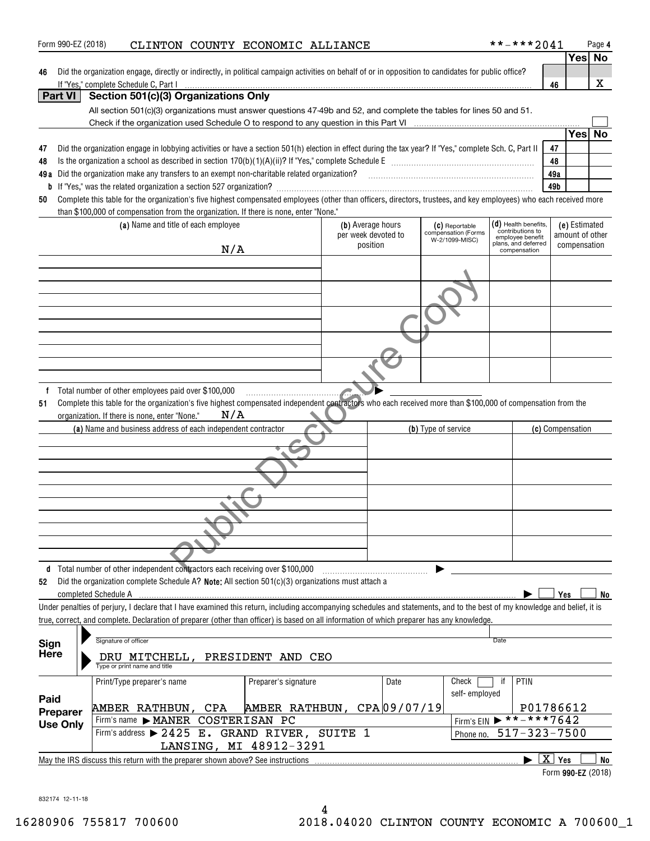| 46                                                         | Did the organization engage, directly or indirectly, in political campaign activities on behalf of or in opposition to candidates for public office?<br>If "Yes," complete Schedule C, Part I                                                                      |     |                             |                                          |                                                         |      |                                      | 46                 | x  |
|------------------------------------------------------------|--------------------------------------------------------------------------------------------------------------------------------------------------------------------------------------------------------------------------------------------------------------------|-----|-----------------------------|------------------------------------------|---------------------------------------------------------|------|--------------------------------------|--------------------|----|
| <b>Part VI</b>                                             | Section 501(c)(3) Organizations Only                                                                                                                                                                                                                               |     |                             |                                          |                                                         |      |                                      |                    |    |
|                                                            | All section 501(c)(3) organizations must answer questions 47-49b and 52, and complete the tables for lines 50 and 51.                                                                                                                                              |     |                             |                                          |                                                         |      |                                      |                    |    |
|                                                            | Check if the organization used Schedule O to respond to any question in this Part VI                                                                                                                                                                               |     |                             |                                          |                                                         |      |                                      |                    |    |
|                                                            |                                                                                                                                                                                                                                                                    |     |                             |                                          |                                                         |      |                                      | Yesl<br>47         | No |
| 47<br>48                                                   | Did the organization engage in lobbying activities or have a section 501(h) election in effect during the tax year? If "Yes," complete Sch. C, Part II                                                                                                             |     |                             |                                          |                                                         |      |                                      | 48                 |    |
| 49 a                                                       | Did the organization make any transfers to an exempt non-charitable related organization?                                                                                                                                                                          |     |                             |                                          |                                                         |      |                                      | 49a                |    |
|                                                            |                                                                                                                                                                                                                                                                    |     |                             |                                          |                                                         |      |                                      | 49b                |    |
| 50                                                         | Complete this table for the organization's five highest compensated employees (other than officers, directors, trustees, and key employees) who each received more                                                                                                 |     |                             |                                          |                                                         |      |                                      |                    |    |
|                                                            | than \$100,000 of compensation from the organization. If there is none, enter "None."                                                                                                                                                                              |     |                             |                                          |                                                         |      | $(d)$ Health benefits,               | (e) Estimated      |    |
|                                                            | (a) Name and title of each employee                                                                                                                                                                                                                                |     |                             | (b) Average hours<br>per week devoted to | (C) Reportable<br>compensation (Forms<br>W-2/1099-MISC) |      | contributions to<br>employee benefit | amount of other    |    |
|                                                            |                                                                                                                                                                                                                                                                    | N/A |                             | position                                 |                                                         |      | plans, and deferred<br>compensation  | compensation       |    |
|                                                            |                                                                                                                                                                                                                                                                    |     |                             |                                          |                                                         |      |                                      |                    |    |
|                                                            |                                                                                                                                                                                                                                                                    |     |                             |                                          |                                                         |      |                                      |                    |    |
|                                                            |                                                                                                                                                                                                                                                                    |     |                             |                                          |                                                         |      |                                      |                    |    |
|                                                            |                                                                                                                                                                                                                                                                    |     |                             |                                          |                                                         |      |                                      |                    |    |
|                                                            |                                                                                                                                                                                                                                                                    |     |                             |                                          |                                                         |      |                                      |                    |    |
|                                                            |                                                                                                                                                                                                                                                                    |     |                             |                                          |                                                         |      |                                      |                    |    |
|                                                            |                                                                                                                                                                                                                                                                    |     |                             |                                          |                                                         |      |                                      |                    |    |
|                                                            |                                                                                                                                                                                                                                                                    |     |                             |                                          |                                                         |      |                                      |                    |    |
|                                                            |                                                                                                                                                                                                                                                                    |     |                             |                                          |                                                         |      |                                      |                    |    |
| f<br>51                                                    | Total number of other employees paid over \$100,000<br>Complete this table for the organization's five highest compensated independent contractors who each received more than \$100,000 of compensation from the<br>organization. If there is none, enter "None." | N/A |                             |                                          |                                                         |      |                                      |                    |    |
|                                                            | (a) Name and business address of each independent contractor                                                                                                                                                                                                       |     |                             |                                          | (b) Type of service                                     |      |                                      | (c) Compensation   |    |
|                                                            |                                                                                                                                                                                                                                                                    |     |                             |                                          |                                                         |      |                                      |                    |    |
|                                                            |                                                                                                                                                                                                                                                                    |     |                             |                                          |                                                         |      |                                      |                    |    |
|                                                            |                                                                                                                                                                                                                                                                    |     |                             |                                          |                                                         |      |                                      |                    |    |
|                                                            |                                                                                                                                                                                                                                                                    |     |                             |                                          |                                                         |      |                                      |                    |    |
|                                                            |                                                                                                                                                                                                                                                                    |     |                             |                                          |                                                         |      |                                      |                    |    |
|                                                            |                                                                                                                                                                                                                                                                    |     |                             |                                          |                                                         |      |                                      |                    |    |
| 52                                                         | d Total number of other independent contractors each receiving over \$100,000<br>Did the organization complete Schedule A? Note: All section 501(c)(3) organizations must attach a                                                                                 |     |                             |                                          |                                                         |      |                                      |                    |    |
|                                                            | completed Schedule A                                                                                                                                                                                                                                               |     |                             |                                          |                                                         |      |                                      | Yes                |    |
|                                                            | Under penalties of perjury, I declare that I have examined this return, including accompanying schedules and statements, and to the best of my knowledge and belief, it is                                                                                         |     |                             |                                          |                                                         |      |                                      |                    |    |
|                                                            | true, correct, and complete. Declaration of preparer (other than officer) is based on all information of which preparer has any knowledge.                                                                                                                         |     |                             |                                          |                                                         |      |                                      |                    |    |
|                                                            | Signature of officer                                                                                                                                                                                                                                               |     |                             |                                          |                                                         | Date |                                      |                    |    |
|                                                            | DRU MITCHELL, PRESIDENT AND CEO<br>Type or print name and title                                                                                                                                                                                                    |     |                             |                                          |                                                         |      |                                      |                    |    |
|                                                            | Print/Type preparer's name                                                                                                                                                                                                                                         |     | Preparer's signature        | Date                                     | Check                                                   | ïf   | PTIN                                 |                    |    |
|                                                            |                                                                                                                                                                                                                                                                    |     |                             |                                          | self-employed                                           |      |                                      |                    |    |
|                                                            | AMBER RATHBUN, CPA                                                                                                                                                                                                                                                 |     | AMBER RATHBUN, CPA 09/07/19 |                                          |                                                         |      |                                      | P01786612          |    |
| Sign<br><b>Here</b><br>Paid<br>Preparer<br><b>Use Only</b> | Firm's name $\blacktriangleright$ <b>MANER</b>                                                                                                                                                                                                                     |     | COSTERISAN PC               |                                          | Firm's EIN                                              |      | $*****7642$                          |                    |    |
|                                                            | Firm's address > 2425 E. GRAND RIVER, SUITE 1                                                                                                                                                                                                                      |     |                             |                                          | Phone no.                                               |      | $517 - 323 - 7500$                   |                    | No |
|                                                            | May the IRS discuss this return with the preparer shown above? See instructions                                                                                                                                                                                    |     | LANSING, MI 48912-3291      |                                          |                                                         |      |                                      | $\overline{X}$ Yes | No |

Form 990-EZ (2018) CLINTON COUNTY ECONOMIC ALLIANCE \* \* - \* \* \* 2 0 4 1 Page

832174 12-11-18

**4**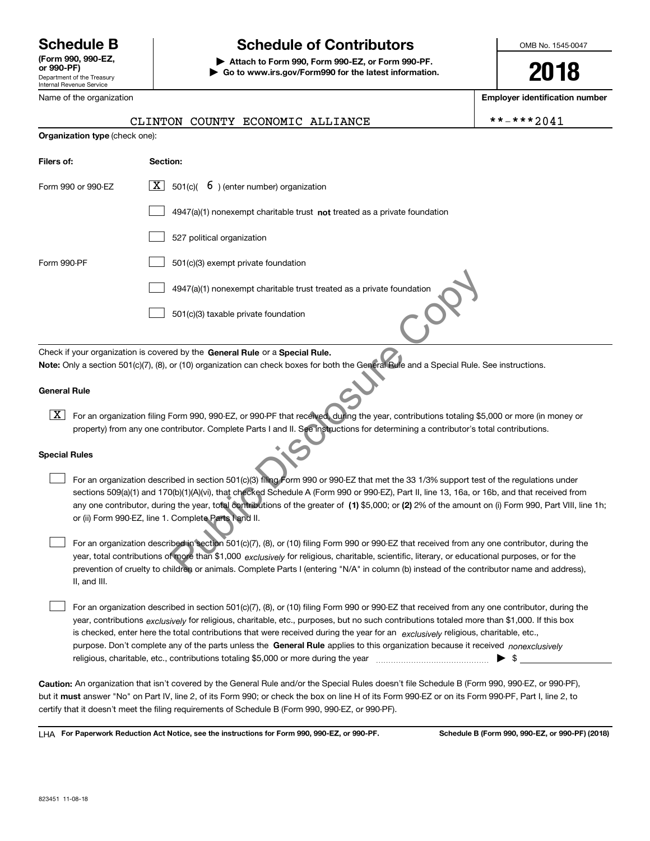Department of the Treasury Internal Revenue Service **(Form 990, 990-EZ, or 990-PF)**

Name of the organization

**Filers of:** 

# **Schedule B Schedule of Contributors**

**| Attach to Form 990, Form 990-EZ, or Form 990-PF. | Go to www.irs.gov/Form990 for the latest information.** OMB No. 1545-0047

**2018**

**Employer identification number**

| <b>Organization type</b> (check one): |                                                                                    |  |  |  |  |  |
|---------------------------------------|------------------------------------------------------------------------------------|--|--|--|--|--|
| Filers of:                            | Section:                                                                           |  |  |  |  |  |
| Form 990 or 990-EZ                    | $\boxed{\mathbf{X}}$ 501(c)( 6) (enter number) organization                        |  |  |  |  |  |
|                                       | $4947(a)(1)$ nonexempt charitable trust <b>not</b> treated as a private foundation |  |  |  |  |  |
|                                       | 527 political organization                                                         |  |  |  |  |  |
| Form 990-PF                           | 501(c)(3) exempt private foundation                                                |  |  |  |  |  |

CLINTON COUNTY ECONOMIC ALLIANCE  $\vert$  \*\*-\*\*\*2041

4947(a)(1) nonexempt charitable trust treated as a private foundation  $\mathcal{L}^{\text{max}}$ 

501(c)(3) taxable private foundation  $\mathcal{L}^{\text{max}}$ 

Check if your organization is covered by the **General Rule** or a **Special Rule.**<br>**Note:** Only a section 501(c)(7), (8), or (10) organization can check boxes for both the General Rule and a Special Rule. See instructions. Check if your organization is covered by the General Rule or a Special Rule.

### **General Rule**

 $\boxed{\textbf{X}}$  For an organization filing Form 990, 990-EZ, or 990-PF that received, during the year, contributions totaling \$5,000 or more (in money or property) from any one contributor. Complete Parts I and II. See instructions for determining a contributor's total contributions.

### **Special Rules**

any one contributor, during the year, total contributions of the greater of  $\,$  (1) \$5,000; or (2) 2% of the amount on (i) Form 990, Part VIII, line 1h; For an organization described in section 501(c)(3) filing Form 990 or 990-EZ that met the 33 1/3% support test of the regulations under sections 509(a)(1) and 170(b)(1)(A)(vi), that checked Schedule A (Form 990 or 990-EZ), Part II, line 13, 16a, or 16b, and that received from or (ii) Form 990-EZ, line 1. Complete Parts I and II.  $\mathcal{L}^{\text{max}}$ 4947(a)(1) nonexempt charitable trust treated as a private foundation<br>
501(c)(3) taxable private foundation<br>
ed by the General Rule or a Special Rule.<br>
For (10) organization can check boxes for both the General Rule and a

year, total contributions of more than \$1,000 *exclusively* for religious, charitable, scientific, literary, or educational purposes, or for the For an organization described in section 501(c)(7), (8), or (10) filing Form 990 or 990-EZ that received from any one contributor, during the prevention of cruelty to children or animals. Complete Parts I (entering "N/A" in column (b) instead of the contributor name and address), II, and III.  $\mathcal{L}^{\text{max}}$ 

purpose. Don't complete any of the parts unless the **General Rule** applies to this organization because it received *nonexclusively* year, contributions <sub>exclusively</sub> for religious, charitable, etc., purposes, but no such contributions totaled more than \$1,000. If this box is checked, enter here the total contributions that were received during the year for an *exclusively* religious, charitable, etc., For an organization described in section 501(c)(7), (8), or (10) filing Form 990 or 990-EZ that received from any one contributor, during the religious, charitable, etc., contributions totaling \$5,000 or more during the year  $\Box$ — $\Box$   $\Box$  $\mathcal{L}^{\text{max}}$ 

**Caution:**  An organization that isn't covered by the General Rule and/or the Special Rules doesn't file Schedule B (Form 990, 990-EZ, or 990-PF), but it **must** answer "No" on Part IV, line 2, of its Form 990; or check the box on line H of its Form 990-EZ or on its Form 990-PF, Part I, line 2, to<br>cortify that it doesn't meet the filipe requirements of Schodule B (Fer certify that it doesn't meet the filing requirements of Schedule B (Form 990, 990-EZ, or 990-PF).

**For Paperwork Reduction Act Notice, see the instructions for Form 990, 990-EZ, or 990-PF. Schedule B (Form 990, 990-EZ, or 990-PF) (2018)** LHA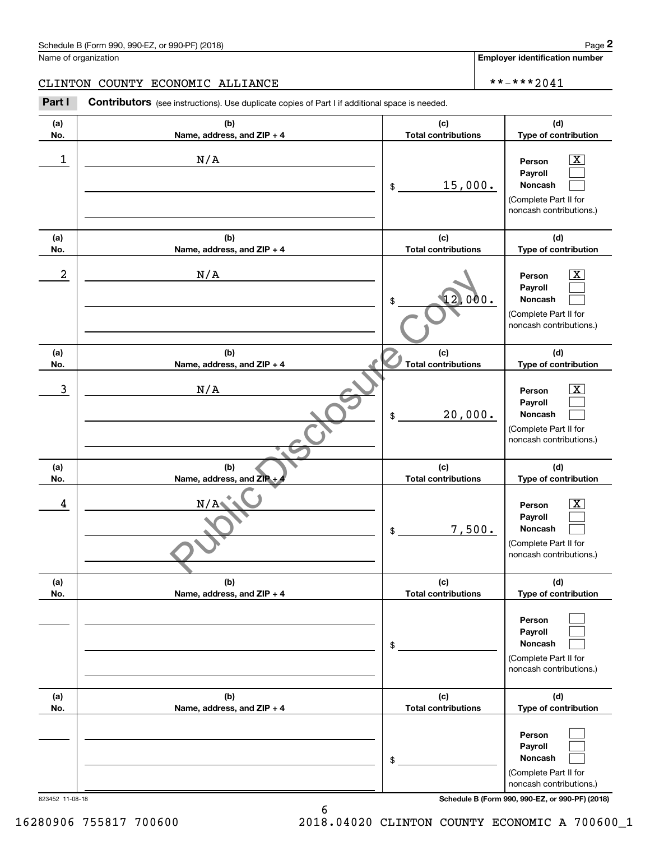**Employer identification number**

**(d) Type of contribution**

# CLINTON COUNTY ECONOMIC ALLIANCE  $\vert$  \*\*-\*\*\*2041

**(a) No.(b) Name, address, and ZIP + 4 (c) Total contributions Contributors** (see instructions). Use duplicate copies of Part I if additional space is needed. **2** Chedule B (Form 990, 990-EZ, or 990-PF) (2018)<br> **2Part I 2Part I COUNTY ECONOMIC ALLIANCE**<br> **2Part I Contributors** (see instructions). Use duplicate copies of Part I if additional space is needed.

| 1               | N/A                               | 15,000.<br>\$                     | Person<br>Payroll<br>Noncash<br>(Complete Part II for<br>noncash contributions.)                                                    |
|-----------------|-----------------------------------|-----------------------------------|-------------------------------------------------------------------------------------------------------------------------------------|
| (a)<br>No.      | (b)<br>Name, address, and ZIP + 4 | (c)<br><b>Total contributions</b> | (d)<br>Type of contribution                                                                                                         |
| 2               | N/A                               | 000.<br>\$                        | X.<br>Person<br>Payroll<br>Noncash<br>(Complete Part II for<br>noncash contributions.)                                              |
| (a)<br>No.      | (b)<br>Name, address, and ZIP + 4 | (c)<br><b>Total contributions</b> | (d)<br>Type of contribution                                                                                                         |
| 3               | N/A                               | 20,000.<br>\$                     | Person<br>x.<br>Payroll<br>Noncash<br>(Complete Part II for<br>noncash contributions.)                                              |
| (a)<br>No.      | (b)<br>Name, address, and ZIP +   | (c)<br><b>Total contributions</b> | (d)<br>Type of contribution                                                                                                         |
| 4               | N/A                               | 7,500.<br>\$                      | Person<br>x<br>Payroll<br>Noncash<br>(Complete Part II for<br>noncash contributions.)                                               |
| (a)<br>No.      | (b)<br>Name, address, and ZIP + 4 | (c)<br><b>Total contributions</b> | (d)<br>Type of contribution                                                                                                         |
|                 |                                   | \$                                | Person<br>Payroll<br>Noncash<br>(Complete Part II for<br>noncash contributions.)                                                    |
| (a)<br>No.      | (b)<br>Name, address, and ZIP + 4 | (c)<br><b>Total contributions</b> | (d)<br>Type of contribution                                                                                                         |
| 823452 11-08-18 |                                   | \$                                | Person<br>Payroll<br>Noncash<br>(Complete Part II for<br>noncash contributions.)<br>Schedule B (Form 990, 990-EZ, or 990-PF) (2018) |

16280906 755817 700600 2018.04020 CLINTON COUNTY ECONOMIC A 700600\_1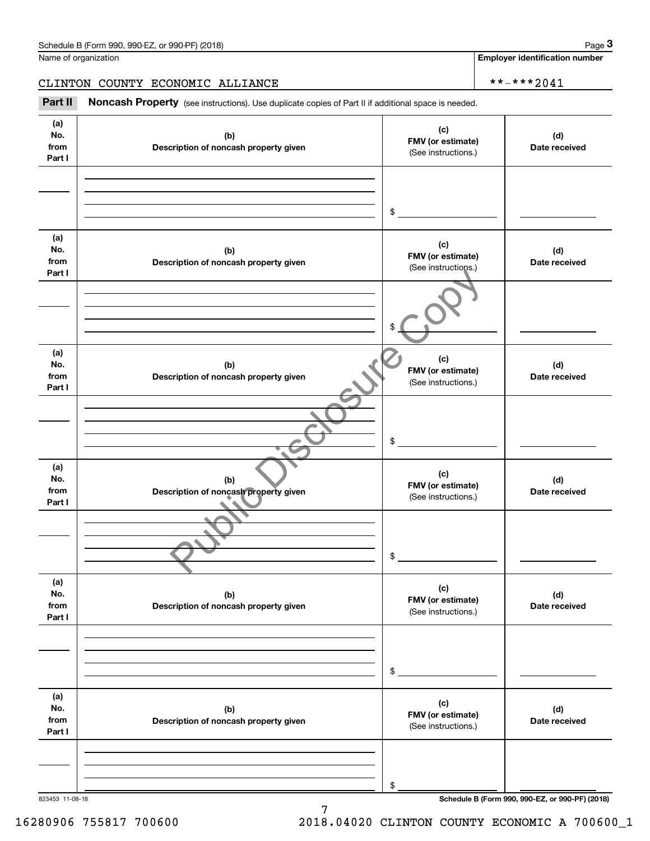### CLINTON COUNTY ECONOMIC ALLIANCE \*\*-\*\*\*2041

|                              | Schedule B (Form 990, 990-EZ, or 990-PF) (2018)                                                     |                                                 | Page 3                                          |
|------------------------------|-----------------------------------------------------------------------------------------------------|-------------------------------------------------|-------------------------------------------------|
|                              | Name of organization                                                                                |                                                 | <b>Employer identification number</b>           |
|                              | CLINTON COUNTY ECONOMIC ALLIANCE                                                                    |                                                 | **-***2041                                      |
| Part II                      | Noncash Property (see instructions). Use duplicate copies of Part II if additional space is needed. |                                                 |                                                 |
| (a)<br>No.<br>from<br>Part I | (b)<br>Description of noncash property given                                                        | (c)<br>FMV (or estimate)<br>(See instructions.) | (d)<br>Date received                            |
|                              |                                                                                                     | \$                                              |                                                 |
| (a)<br>No.<br>from<br>Part I | (b)<br>Description of noncash property given                                                        | (c)<br>FMV (or estimate)<br>(See instructions.) | (d)<br>Date received                            |
|                              |                                                                                                     | \$                                              |                                                 |
| (a)<br>No.<br>from<br>Part I | (b)<br>Description of noncash property given                                                        | (c)<br>FMV (or estimate)<br>(See instructions.) | (d)<br>Date received                            |
|                              |                                                                                                     | \$                                              |                                                 |
| (a)<br>No.<br>from<br>Part I | (b)<br>Description of noncash property given                                                        | (c)<br>FMV (or estimate)<br>(See instructions.) | (d)<br>Date received                            |
|                              |                                                                                                     | \$                                              |                                                 |
| (a)<br>No.<br>from<br>Part I | (b)<br>Description of noncash property given                                                        | (c)<br>FMV (or estimate)<br>(See instructions.) | (d)<br>Date received                            |
|                              |                                                                                                     | \$                                              |                                                 |
| (a)<br>No.<br>from<br>Part I | (b)<br>Description of noncash property given                                                        | (c)<br>FMV (or estimate)<br>(See instructions.) | (d)<br>Date received                            |
|                              |                                                                                                     | \$                                              |                                                 |
| 823453 11-08-18              |                                                                                                     |                                                 | Schedule B (Form 990, 990-EZ, or 990-PF) (2018) |

7

16280906 755817 700600 2018.04020 CLINTON COUNTY ECONOMIC A 700600\_1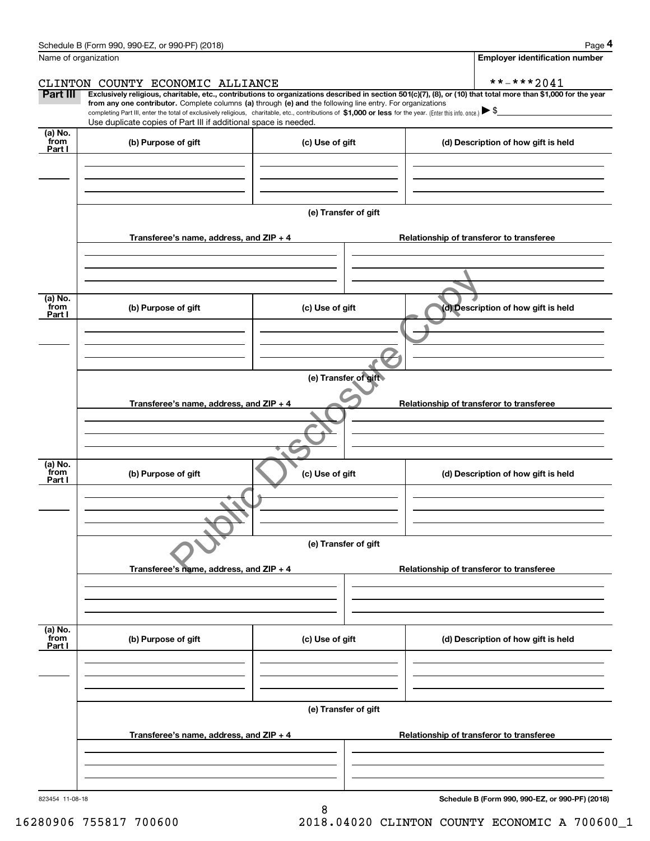| Schedule B (Form 990, 990-EZ, or 990-PF) (2018) | Page |
|-------------------------------------------------|------|
|-------------------------------------------------|------|

|--|--|--|

|                           | Schedule B (Form 990, 990-EZ, or 990-PF) (2018)                                                                                                                                                                                                                              |                      |  | Page 4                                          |  |  |  |
|---------------------------|------------------------------------------------------------------------------------------------------------------------------------------------------------------------------------------------------------------------------------------------------------------------------|----------------------|--|-------------------------------------------------|--|--|--|
| Name of organization      |                                                                                                                                                                                                                                                                              |                      |  | <b>Employer identification number</b>           |  |  |  |
|                           | CLINTON COUNTY ECONOMIC ALLIANCE                                                                                                                                                                                                                                             |                      |  | **-***2041                                      |  |  |  |
| Part III                  | Exclusively religious, charitable, etc., contributions to organizations described in section 501(c)(7), (8), or (10) that total more than \$1,000 for the year<br>from any one contributor. Complete columns (a) through (e) and the following line entry. For organizations |                      |  |                                                 |  |  |  |
|                           | completing Part III, enter the total of exclusively religious, charitable, etc., contributions of \$1,000 or less for the year. (Enter this info. once.) \\$<br>Use duplicate copies of Part III if additional space is needed.                                              |                      |  |                                                 |  |  |  |
| (a) No.<br>from           |                                                                                                                                                                                                                                                                              |                      |  |                                                 |  |  |  |
| Part I                    | (b) Purpose of gift                                                                                                                                                                                                                                                          | (c) Use of gift      |  | (d) Description of how gift is held             |  |  |  |
|                           |                                                                                                                                                                                                                                                                              |                      |  |                                                 |  |  |  |
|                           |                                                                                                                                                                                                                                                                              |                      |  |                                                 |  |  |  |
|                           |                                                                                                                                                                                                                                                                              | (e) Transfer of gift |  |                                                 |  |  |  |
|                           | Transferee's name, address, and ZIP + 4                                                                                                                                                                                                                                      |                      |  | Relationship of transferor to transferee        |  |  |  |
|                           |                                                                                                                                                                                                                                                                              |                      |  |                                                 |  |  |  |
|                           |                                                                                                                                                                                                                                                                              |                      |  |                                                 |  |  |  |
| (a) No.<br>from           | (b) Purpose of gift                                                                                                                                                                                                                                                          | (c) Use of gift      |  | (d) Description of how gift is held             |  |  |  |
| Part I                    |                                                                                                                                                                                                                                                                              |                      |  |                                                 |  |  |  |
|                           |                                                                                                                                                                                                                                                                              |                      |  |                                                 |  |  |  |
|                           |                                                                                                                                                                                                                                                                              |                      |  |                                                 |  |  |  |
|                           | (e) Transfer of gift                                                                                                                                                                                                                                                         |                      |  |                                                 |  |  |  |
|                           | Transferee's name, address, and ZIP + 4<br>Relationship of transferor to transferee                                                                                                                                                                                          |                      |  |                                                 |  |  |  |
|                           |                                                                                                                                                                                                                                                                              |                      |  |                                                 |  |  |  |
|                           |                                                                                                                                                                                                                                                                              |                      |  |                                                 |  |  |  |
| (a) No.<br>from           |                                                                                                                                                                                                                                                                              |                      |  |                                                 |  |  |  |
| Part I                    | (b) Purpose of gift                                                                                                                                                                                                                                                          | (c) Use of gift      |  | (d) Description of how gift is held             |  |  |  |
|                           |                                                                                                                                                                                                                                                                              |                      |  |                                                 |  |  |  |
|                           |                                                                                                                                                                                                                                                                              |                      |  |                                                 |  |  |  |
|                           |                                                                                                                                                                                                                                                                              | (e) Transfer of gift |  |                                                 |  |  |  |
|                           | Transferee's name, address, and ZIP + 4                                                                                                                                                                                                                                      |                      |  | Relationship of transferor to transferee        |  |  |  |
|                           |                                                                                                                                                                                                                                                                              |                      |  |                                                 |  |  |  |
|                           |                                                                                                                                                                                                                                                                              |                      |  |                                                 |  |  |  |
|                           |                                                                                                                                                                                                                                                                              |                      |  |                                                 |  |  |  |
| (a) No.<br>from<br>Part I | (b) Purpose of gift                                                                                                                                                                                                                                                          | (c) Use of gift      |  | (d) Description of how gift is held             |  |  |  |
|                           |                                                                                                                                                                                                                                                                              |                      |  |                                                 |  |  |  |
|                           |                                                                                                                                                                                                                                                                              |                      |  |                                                 |  |  |  |
|                           | (e) Transfer of gift                                                                                                                                                                                                                                                         |                      |  |                                                 |  |  |  |
|                           | Transferee's name, address, and $ZIP + 4$                                                                                                                                                                                                                                    |                      |  | Relationship of transferor to transferee        |  |  |  |
|                           |                                                                                                                                                                                                                                                                              |                      |  |                                                 |  |  |  |
|                           |                                                                                                                                                                                                                                                                              |                      |  |                                                 |  |  |  |
|                           |                                                                                                                                                                                                                                                                              |                      |  |                                                 |  |  |  |
| 823454 11-08-18           |                                                                                                                                                                                                                                                                              |                      |  | Schedule B (Form 990, 990-EZ, or 990-PF) (2018) |  |  |  |

8

16280906 755817 700600 2018.04020 CLINTON COUNTY ECONOMIC A 700600\_1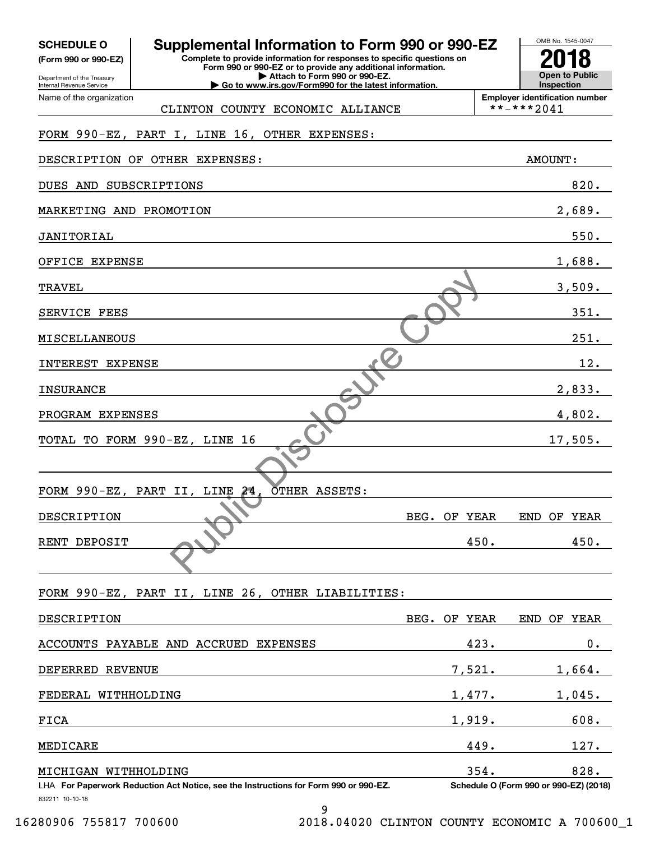| <b>SCHEDULE O</b> |  |
|-------------------|--|
|-------------------|--|

Department of the Treasury **(Form 990 or 990-EZ)**

Name of the organization

Internal Revenue Service

# **SCHEDULE O Supplemental Information to Form 990 or 990-EZ**

CLINTON COUNTY ECONOMIC ALLIANCE

**Complete to provide information for responses to specific questions on Form 990 or 990-EZ or to provide any additional information. | Attach to Form 990 or 990-EZ.**

**| Go to www.irs.gov/Form990 for the latest information.**

**Employer identification number**<br>\*\*-\*\*\*2041

OMB No. 1545-0047

**Open to Public Inspection**

**2018**

# FORM 990-EZ, PART I, LINE 16, OTHER EXPENSES:

| DESCRIPTION OF OTHER EXPENSES:                                                       |              | <b>AMOUNT:</b>                         |
|--------------------------------------------------------------------------------------|--------------|----------------------------------------|
| DUES AND SUBSCRIPTIONS                                                               |              | 820.                                   |
| MARKETING AND PROMOTION                                                              |              | 2,689.                                 |
| <b>JANITORIAL</b>                                                                    |              | 550.                                   |
| OFFICE EXPENSE                                                                       |              | 1,688.                                 |
| TRAVEL                                                                               |              | 3,509.                                 |
| SERVICE FEES                                                                         |              | 351.                                   |
| MISCELLANEOUS                                                                        |              | 251.                                   |
| INTEREST EXPENSE                                                                     |              | 12.                                    |
| <b>INSURANCE</b>                                                                     |              | 2,833.                                 |
| PROGRAM EXPENSES                                                                     |              | 4,802.                                 |
| TOTAL TO FORM 990-EZ, LINE 16                                                        |              | 17,505.                                |
|                                                                                      |              |                                        |
| 24 <sub>1</sub><br>OTHER ASSETS:<br>FORM 990-EZ, PART II, LINE                       |              |                                        |
| DESCRIPTION                                                                          | BEG. OF YEAR | END OF YEAR                            |
| RENT DEPOSIT                                                                         | 450.         | 450.                                   |
|                                                                                      |              |                                        |
| FORM 990-EZ, PART II, LINE 26, OTHER LIABILITIES:                                    |              |                                        |
| DESCRIPTION                                                                          | BEG. OF YEAR | END OF YEAR                            |
| ACCOUNTS PAYABLE AND ACCRUED EXPENSES                                                | 423.         | $0$ .                                  |
|                                                                                      |              |                                        |
| DEFERRED REVENUE                                                                     | 7,521.       | 1,664.                                 |
| FEDERAL WITHHOLDING                                                                  | 1,477.       | 1,045.                                 |
| FICA                                                                                 | 1,919.       | 608.                                   |
| MEDICARE                                                                             | 449.         | 127.                                   |
| MICHIGAN WITHHOLDING                                                                 | 354.         | 828.                                   |
| LHA For Paperwork Reduction Act Notice, see the Instructions for Form 990 or 990-EZ. |              | Schedule O (Form 990 or 990-EZ) (2018) |

832211 10-10-18

9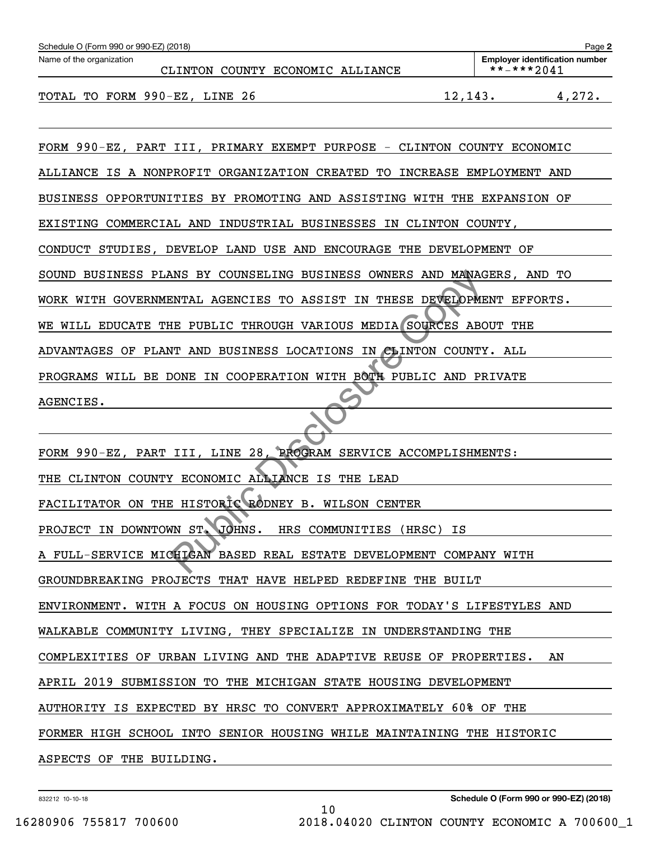| Schedule O (Form 990 or 990-EZ) (2018)<br>Page 2 |  |          |  |                                  |   |                                       |                           |
|--------------------------------------------------|--|----------|--|----------------------------------|---|---------------------------------------|---------------------------|
| Name of the organization                         |  |          |  |                                  |   | <b>Employer identification number</b> |                           |
|                                                  |  |          |  | CLINTON COUNTY ECONOMIC ALLIANCE |   | **-***2041                            |                           |
|                                                  |  | ----- ^^ |  |                                  | . |                                       | $\mathbf{A} = \mathbf{A}$ |

TOTAL TO FORM 990-EZ, LINE 26 12,143. 4,272.

FORM 990-EZ, PART III, PRIMARY EXEMPT PURPOSE - CLINTON COUNTY ECONOMIC ALLIANCE IS A NONPROFIT ORGANIZATION CREATED TO INCREASE EMPLOYMENT AND BUSINESS OPPORTUNITIES BY PROMOTING AND ASSISTING WITH THE EXPANSION OF EXISTING COMMERCIAL AND INDUSTRIAL BUSINESSES IN CLINTON COUNTY, CONDUCT STUDIES, DEVELOP LAND USE AND ENCOURAGE THE DEVELOPMENT OF SOUND BUSINESS PLANS BY COUNSELING BUSINESS OWNERS AND MANAGERS, AND TO WORK WITH GOVERNMENTAL AGENCIES TO ASSIST IN THESE DEVELOPMENT EFFORTS. WE WILL EDUCATE THE PUBLIC THROUGH VARIOUS MEDIA SOURCES ABOUT THE ADVANTAGES OF PLANT AND BUSINESS LOCATIONS IN CLINTON COUNTY. ALL PROGRAMS WILL BE DONE IN COOPERATION WITH BOTH PUBLIC AND PRIVATE AGENCIES. NNS BY COUNSELING BUSINESS OWNERS AND MANAGEMIAL AGENCIES TO ASSIST IN THESE DEVELOPMENT AND BUSINESS LOCATIONS IN CLINTON COUNTY AND BUSINESS LOCATIONS IN CLINTON COUNTY NONE IN COOPERATION WITH BOTH PUBLIC AND PRESENT ON

FORM 990-EZ, PART III, LINE 28, PROGRAM SERVICE ACCOMPLISHMENTS: THE CLINTON COUNTY ECONOMIC ALLIANCE IS THE LEAD FACILITATOR ON THE HISTORIC RODNEY B. WILSON CENTER PROJECT IN DOWNTOWN ST. JOHNS. HRS COMMUNITIES (HRSC) IS A FULL-SERVICE MICHIGAN BASED REAL ESTATE DEVELOPMENT COMPANY WITH GROUNDBREAKING PROJECTS THAT HAVE HELPED REDEFINE THE BUILT ENVIRONMENT. WITH A FOCUS ON HOUSING OPTIONS FOR TODAY'S LIFESTYLES AND WALKABLE COMMUNITY LIVING, THEY SPECIALIZE IN UNDERSTANDING THE COMPLEXITIES OF URBAN LIVING AND THE ADAPTIVE REUSE OF PROPERTIES. AN APRIL 2019 SUBMISSION TO THE MICHIGAN STATE HOUSING DEVELOPMENT AUTHORITY IS EXPECTED BY HRSC TO CONVERT APPROXIMATELY 60% OF THE FORMER HIGH SCHOOL INTO SENIOR HOUSING WHILE MAINTAINING THE HISTORIC ASPECTS OF THE BUILDING.

10

832212 10-10-18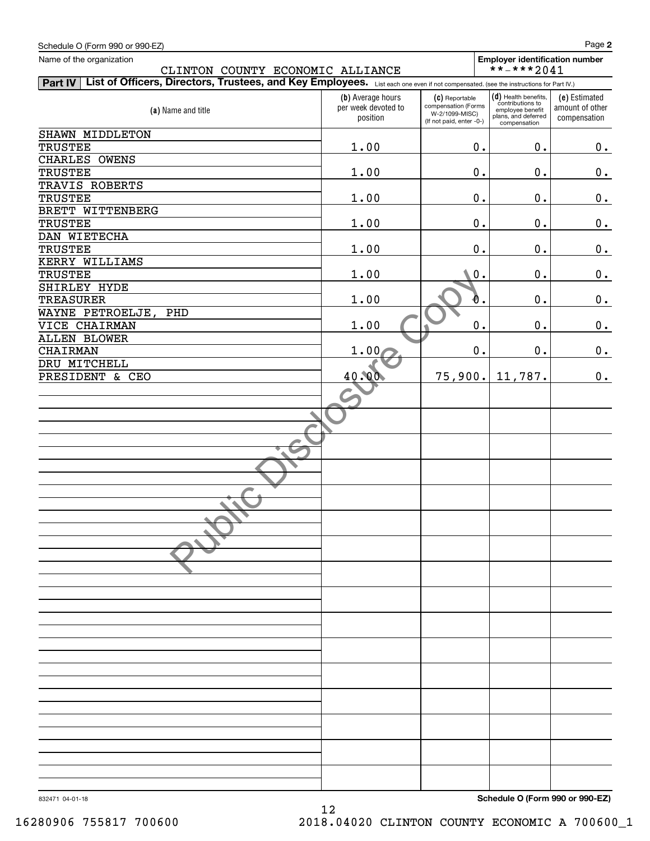| Schedule O (Form 990 or 990-EZ)                                                                                                                        |                                                      |                                                                                     |                                                                                                       | Page 2                                           |
|--------------------------------------------------------------------------------------------------------------------------------------------------------|------------------------------------------------------|-------------------------------------------------------------------------------------|-------------------------------------------------------------------------------------------------------|--------------------------------------------------|
| Name of the organization                                                                                                                               |                                                      |                                                                                     | <b>Employer identification number</b>                                                                 |                                                  |
| CLINTON COUNTY ECONOMIC ALLIANCE                                                                                                                       |                                                      |                                                                                     | **-***2041                                                                                            |                                                  |
| List of Officers, Directors, Trustees, and Key Employees. List each one even if not compensated. (see the instructions for Part IV.)<br><b>Part IV</b> |                                                      |                                                                                     |                                                                                                       |                                                  |
| (a) Name and title                                                                                                                                     | (b) Average hours<br>per week devoted to<br>position | (C) Reportable<br>compensation (Forms<br>W-2/1099-MISC)<br>(If not paid, enter -0-) | $(d)$ Health benefits,<br>contributions to<br>employee benefit<br>plans, and deferred<br>compensation | (e) Estimated<br>amount of other<br>compensation |
| SHAWN MIDDLETON                                                                                                                                        |                                                      |                                                                                     |                                                                                                       |                                                  |
| <b>TRUSTEE</b>                                                                                                                                         | 1.00                                                 | 0.                                                                                  | 0.                                                                                                    | 0.                                               |
| CHARLES OWENS<br><b>TRUSTEE</b>                                                                                                                        | 1.00                                                 | $0$ .                                                                               | $0$ .                                                                                                 | 0.                                               |
| TRAVIS ROBERTS                                                                                                                                         |                                                      |                                                                                     |                                                                                                       |                                                  |
| <b>TRUSTEE</b>                                                                                                                                         | 1.00                                                 | 0.                                                                                  | 0.                                                                                                    | 0.                                               |
| BRETT WITTENBERG                                                                                                                                       |                                                      |                                                                                     |                                                                                                       |                                                  |
| <b>TRUSTEE</b>                                                                                                                                         | 1.00                                                 | 0.                                                                                  | 0.                                                                                                    | 0.                                               |
| DAN WIETECHA                                                                                                                                           |                                                      |                                                                                     |                                                                                                       |                                                  |
| <b>TRUSTEE</b>                                                                                                                                         | 1.00                                                 | $\mathbf 0$ .                                                                       | 0.                                                                                                    | 0.                                               |
| KERRY WILLIAMS                                                                                                                                         |                                                      |                                                                                     |                                                                                                       |                                                  |
| <b>TRUSTEE</b>                                                                                                                                         | 1.00                                                 | $0$ .                                                                               | 0.                                                                                                    | 0.                                               |
| SHIRLEY HYDE                                                                                                                                           |                                                      |                                                                                     |                                                                                                       |                                                  |
| <b>TREASURER</b>                                                                                                                                       | 1.00                                                 | Đ.                                                                                  | 0.                                                                                                    | 0.                                               |
| WAYNE PETROELJE,<br>PHD                                                                                                                                |                                                      |                                                                                     |                                                                                                       |                                                  |
| VICE CHAIRMAN                                                                                                                                          | 1.00                                                 | 0.                                                                                  | 0.                                                                                                    | 0.                                               |
| <b>ALLEN BLOWER</b>                                                                                                                                    |                                                      |                                                                                     |                                                                                                       |                                                  |
| <b>CHAIRMAN</b>                                                                                                                                        | 1.00                                                 | $\mathbf 0$ .                                                                       | 0.                                                                                                    | 0.                                               |
| DRU MITCHELL<br>PRESIDENT & CEO                                                                                                                        | 40.00                                                | 75,900.                                                                             | 11,787.                                                                                               | 0.                                               |
|                                                                                                                                                        |                                                      |                                                                                     |                                                                                                       |                                                  |
|                                                                                                                                                        |                                                      |                                                                                     |                                                                                                       |                                                  |
|                                                                                                                                                        |                                                      |                                                                                     |                                                                                                       |                                                  |
|                                                                                                                                                        |                                                      |                                                                                     |                                                                                                       |                                                  |
|                                                                                                                                                        |                                                      |                                                                                     |                                                                                                       |                                                  |
|                                                                                                                                                        |                                                      |                                                                                     |                                                                                                       |                                                  |
|                                                                                                                                                        |                                                      |                                                                                     |                                                                                                       |                                                  |
|                                                                                                                                                        |                                                      |                                                                                     |                                                                                                       |                                                  |
|                                                                                                                                                        |                                                      |                                                                                     |                                                                                                       |                                                  |
|                                                                                                                                                        |                                                      |                                                                                     |                                                                                                       |                                                  |
|                                                                                                                                                        |                                                      |                                                                                     |                                                                                                       |                                                  |
|                                                                                                                                                        |                                                      |                                                                                     |                                                                                                       |                                                  |
|                                                                                                                                                        |                                                      |                                                                                     |                                                                                                       |                                                  |
|                                                                                                                                                        |                                                      |                                                                                     |                                                                                                       |                                                  |
|                                                                                                                                                        |                                                      |                                                                                     |                                                                                                       |                                                  |
|                                                                                                                                                        |                                                      |                                                                                     |                                                                                                       |                                                  |
|                                                                                                                                                        |                                                      |                                                                                     |                                                                                                       |                                                  |
|                                                                                                                                                        |                                                      |                                                                                     |                                                                                                       |                                                  |
|                                                                                                                                                        |                                                      |                                                                                     |                                                                                                       |                                                  |
|                                                                                                                                                        |                                                      |                                                                                     |                                                                                                       |                                                  |
|                                                                                                                                                        |                                                      |                                                                                     |                                                                                                       |                                                  |
|                                                                                                                                                        |                                                      |                                                                                     |                                                                                                       |                                                  |
|                                                                                                                                                        |                                                      |                                                                                     |                                                                                                       |                                                  |
|                                                                                                                                                        |                                                      |                                                                                     |                                                                                                       |                                                  |
|                                                                                                                                                        |                                                      |                                                                                     |                                                                                                       |                                                  |
|                                                                                                                                                        |                                                      |                                                                                     |                                                                                                       |                                                  |
|                                                                                                                                                        |                                                      |                                                                                     |                                                                                                       |                                                  |

12

**Schedule O (Form 990 or 990-EZ)**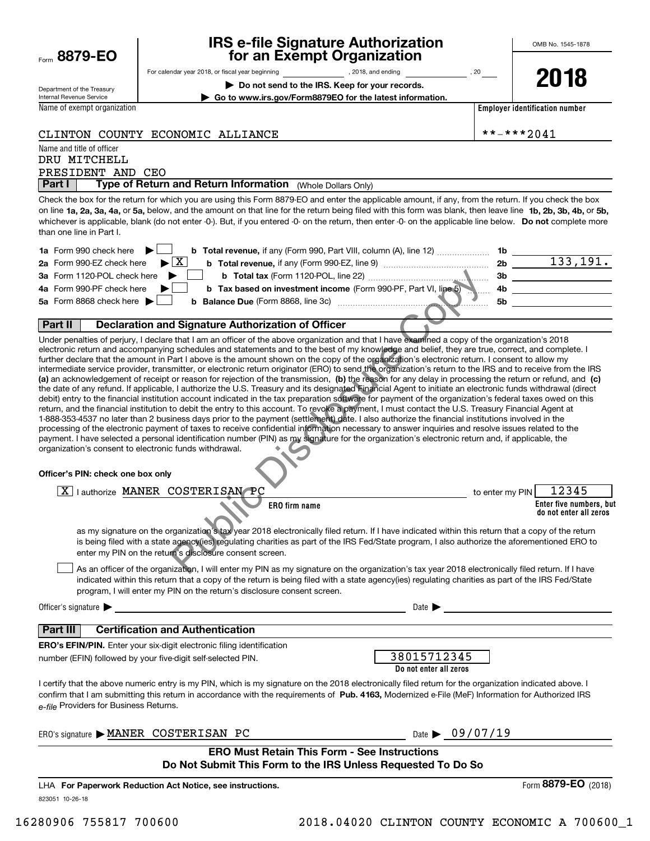| Form 8879-EO |  |
|--------------|--|
|              |  |

### **IRS e-file Signature Authorization for an Exempt Organization**

**| Do not send to the IRS. Keep for your records. | Go to www.irs.gov/Form8879EO for the latest information.**

For calendar year 2018, or fiscal year beginning and the state of the state of 2018, and ending calendary pear of 20

Department of the Treasury Internal Revenue Service

Name of exempt organization

**2018**

**Employer identification number**

### CLINTON COUNTY ECONOMIC ALLIANCE \*\*-\*\*\*2041

Name and title of officer PRESIDENT AND CEO DRU MITCHELL

**Part I | Type of Return and Return Information** (Whole Dollars Only)<br>Check the box for the return for which you are using this Form 8879-FO and enter the an

on line **1a, 2a, 3a, 4a,** or **5a,** below, and the amount on that line for the return being filed with this form was blank, then leave line **1b, 2b, 3b, 4b,** or **5b,** whichever is applicable, blank (do not enter -0-). But, if you entered -0- on the return, then enter -0- on the applicable line below. **Do not** complete more Check the box for the return for which you are using this Form 8879-EO and enter the applicable amount, if any, from the return. If you check the box than one line in Part I.

| 1a Form 990 check here $\blacktriangleright$<br><b>b Total revenue,</b> if any (Form 990, Part VIII, column (A), line 12) | 1b. |          |
|---------------------------------------------------------------------------------------------------------------------------|-----|----------|
| 2a Form 990-EZ check here $\blacktriangleright \boxed{X}$<br><b>b</b> Total revenue, if any (Form 990-EZ, line 9)         | 2b. | 133,191. |
| 3a Form 1120-POL check here<br><b>b</b> Total tax (Form 1120-POL, line 22)                                                | -3b |          |
| 4a Form 990-PF check here<br>b Tax based on investment income (Form 990-PF, Part VI, line 5)                              |     |          |
| 5a Form 8868 check here $\blacktriangleright$<br><b>b</b> Balance Due (Form 8868, line 3c) <b>manual</b>                  | .5b |          |
|                                                                                                                           |     |          |

### **Part II Declaration and Signature Authorization of Officer**

**(a)** an acknowledgement of receipt or reason for rejection of the transmission, (b) the reason for any delay in processing the return or refund, and (c) Under penalties of perjury, I declare that I am an officer of the above organization and that I have examined a copy of the organization's 2018 electronic return and accompanying schedules and statements and to the best of my knowledge and belief, they are true, correct, and complete. I further declare that the amount in Part I above is the amount shown on the copy of the organization's electronic return. I consent to allow my intermediate service provider, transmitter, or electronic return originator (ERO) to send the organization's return to the IRS and to receive from the IRS the date of any refund. If applicable, I authorize the U.S. Treasury and its designated Financial Agent to initiate an electronic funds withdrawal (direct debit) entry to the financial institution account indicated in the tax preparation software for payment of the organization's federal taxes owed on this return, and the financial institution to debit the entry to this account. To revoke a payment, I must contact the U.S. Treasury Financial Agent at 1-888-353-4537 no later than 2 business days prior to the payment (settlement) date. I also authorize the financial institutions involved in the processing of the electronic payment of taxes to receive confidential information necessary to answer inquiries and resolve issues related to the payment. I have selected a personal identification number (PIN) as my signature for the organization's electronic return and, if applicable, the organization's consent to electronic funds withdrawal. **Example 12** In The state of the against the Comparison of the University of the Comparison of the Bigginal Constant Copy of the statements and the best of my knowledge and belief, they are that I am an officer of the abov

#### **Officer's PIN: check one box only**

| v<br><b>MANEL</b><br>∩פ<br>אחיד?<br>SAN<br>authorize<br>△ |                        | $\overline{a}$ $\overline{b}$<br>'45<br>PIN<br>to enter my |
|-----------------------------------------------------------|------------------------|------------------------------------------------------------|
| ∼                                                         | ERO fin<br>` firm name | Enter five numbers, but<br>do not enter all zeros          |

as my signature on the organization's tax year 2018 electronically filed return. If I have indicated within this return that a copy of the return is being filed with a state agency(ies) regulating charities as part of the IRS Fed/State program, I also authorize the aforementioned ERO to enter my PIN on the return's disclosure consent screen.

As an officer of the organization, I will enter my PIN as my signature on the organization's tax year 2018 electronically filed return. If I have indicated within this return that a copy of the return is being filed with a state agency(ies) regulating charities as part of the IRS Fed/State program, I will enter my PIN on the return's disclosure consent screen.  $\mathcal{L}^{\text{max}}$ 

Officer's signature  $\blacktriangleright$  Date  $\blacktriangleright$ 

### **Part III Certification and Authentication**

**ERO's EFIN/PIN.** Enter your six-digit electronic filing identification number (EFIN) followed by your five-digit self-selected PIN.

| 38015712345            |  |
|------------------------|--|
| Do not enter all zeros |  |

Г

confirm that I am submitting this return in accordance with the requirements of **Pub. 4163,** Modernized e-File (MeF) Information for Authorized IRS *e-file*  Providers for Business Returns. I certify that the above numeric entry is my PIN, which is my signature on the 2018 electronically filed return for the organization indicated above. I

| ERO's signature MANER COSTERISAN PC                                                                                 |  |  | Date $\triangleright$ 09/07/19 |                       |  |  |  |  |
|---------------------------------------------------------------------------------------------------------------------|--|--|--------------------------------|-----------------------|--|--|--|--|
| <b>ERO Must Retain This Form - See Instructions</b><br>Do Not Submit This Form to the IRS Unless Requested To Do So |  |  |                                |                       |  |  |  |  |
| LHA For Paperwork Reduction Act Notice, see instructions.                                                           |  |  |                                | Form 8879-EO $(2018)$ |  |  |  |  |
| 823051 10-26-18                                                                                                     |  |  |                                |                       |  |  |  |  |